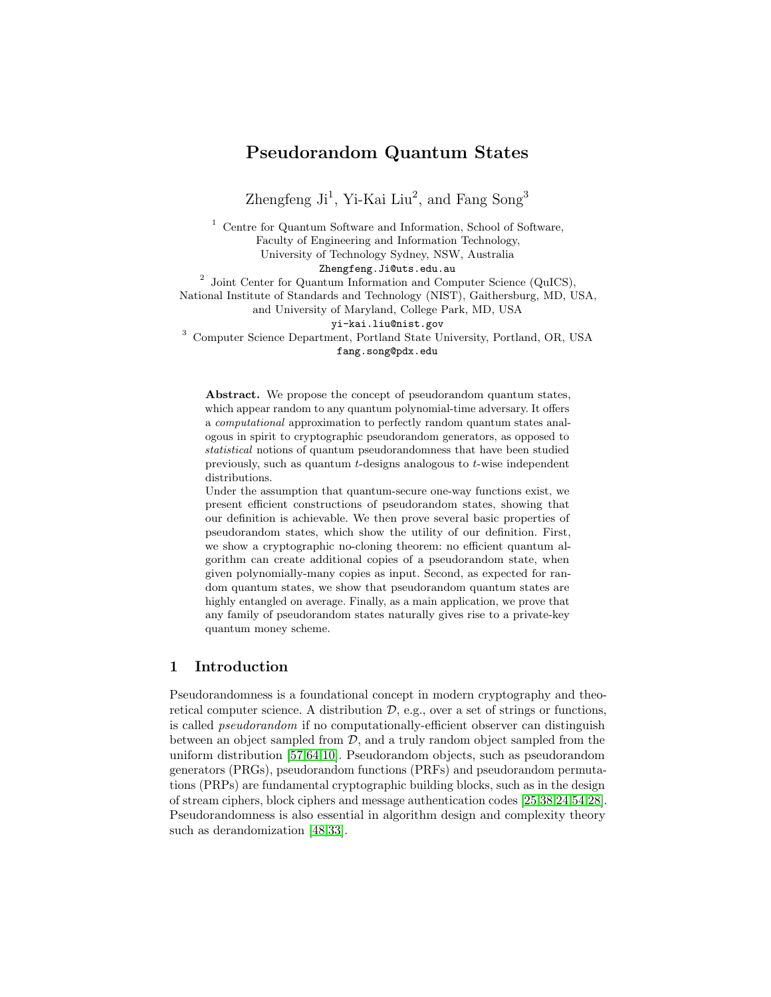# Pseudorandom Quantum States

Zhengfeng Ji<sup>1</sup>, Yi-Kai Liu<sup>2</sup>, and Fang Song<sup>3</sup>

<sup>1</sup> Centre for Quantum Software and Information, School of Software, Faculty of Engineering and Information Technology, University of Technology Sydney, NSW, Australia Zhengfeng.Ji@uts.edu.au

 $^2$  Joint Center for Quantum Information and Computer Science (QuICS),

National Institute of Standards and Technology (NIST), Gaithersburg, MD, USA,

and University of Maryland, College Park, MD, USA

yi-kai.liu@nist.gov

<sup>3</sup> Computer Science Department, Portland State University, Portland, OR, USA fang.song@pdx.edu

Abstract. We propose the concept of pseudorandom quantum states, which appear random to any quantum polynomial-time adversary. It offers a computational approximation to perfectly random quantum states analogous in spirit to cryptographic pseudorandom generators, as opposed to statistical notions of quantum pseudorandomness that have been studied previously, such as quantum t-designs analogous to t-wise independent distributions.

Under the assumption that quantum-secure one-way functions exist, we present efficient constructions of pseudorandom states, showing that our definition is achievable. We then prove several basic properties of pseudorandom states, which show the utility of our definition. First, we show a cryptographic no-cloning theorem: no efficient quantum algorithm can create additional copies of a pseudorandom state, when given polynomially-many copies as input. Second, as expected for random quantum states, we show that pseudorandom quantum states are highly entangled on average. Finally, as a main application, we prove that any family of pseudorandom states naturally gives rise to a private-key quantum money scheme.

# 1 Introduction

Pseudorandomness is a foundational concept in modern cryptography and theoretical computer science. A distribution  $D$ , e.g., over a set of strings or functions, is called pseudorandom if no computationally-efficient observer can distinguish between an object sampled from  $D$ , and a truly random object sampled from the uniform distribution [\[57](#page-26-0)[,64](#page-26-1)[,10\]](#page-23-0). Pseudorandom objects, such as pseudorandom generators (PRGs), pseudorandom functions (PRFs) and pseudorandom permutations (PRPs) are fundamental cryptographic building blocks, such as in the design of stream ciphers, block ciphers and message authentication codes [\[25](#page-24-0)[,38,](#page-25-0)[24](#page-24-1)[,54](#page-26-2)[,28\]](#page-24-2). Pseudorandomness is also essential in algorithm design and complexity theory such as derandomization [\[48,](#page-25-1)[33\]](#page-24-3).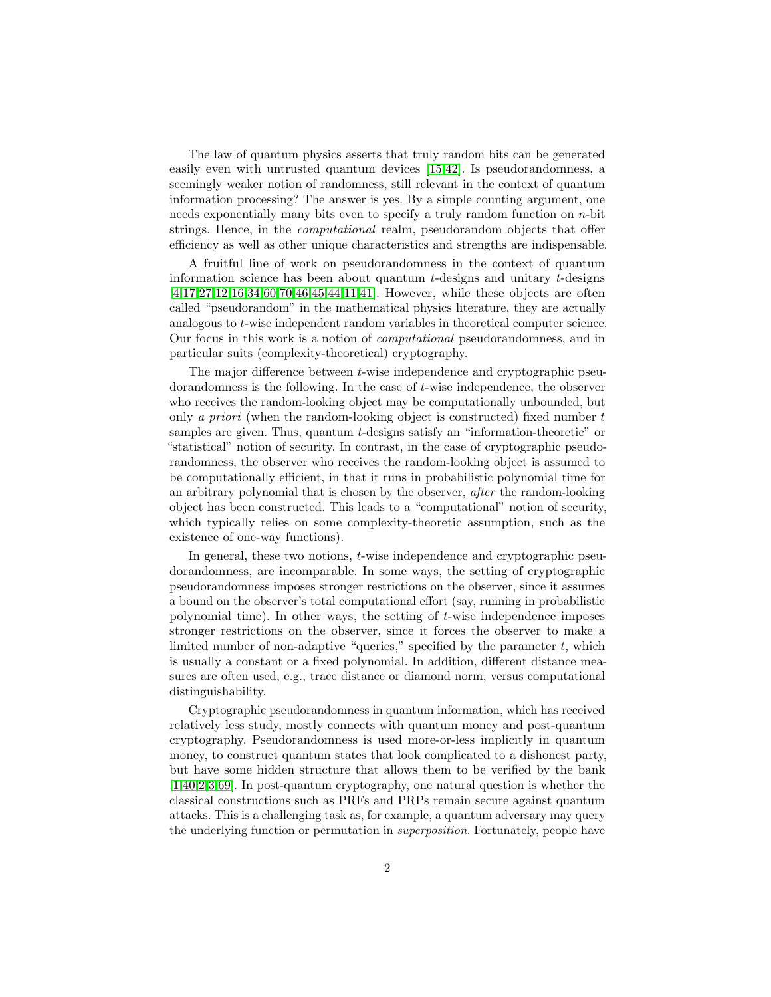The law of quantum physics asserts that truly random bits can be generated easily even with untrusted quantum devices [\[15,](#page-23-1)[42\]](#page-25-2). Is pseudorandomness, a seemingly weaker notion of randomness, still relevant in the context of quantum information processing? The answer is yes. By a simple counting argument, one needs exponentially many bits even to specify a truly random function on  $n$ -bit strings. Hence, in the *computational* realm, pseudorandom objects that offer efficiency as well as other unique characteristics and strengths are indispensable.

A fruitful line of work on pseudorandomness in the context of quantum information science has been about quantum  $t$ -designs and unitary  $t$ -designs [\[4,](#page-23-2)[17](#page-24-4)[,27](#page-24-5)[,12,](#page-23-3)[16,](#page-24-6)[34](#page-25-3)[,60](#page-26-3)[,70,](#page-26-4)[46,](#page-25-4)[45](#page-25-5)[,44](#page-25-6)[,11](#page-23-4)[,41\]](#page-25-7). However, while these objects are often called "pseudorandom" in the mathematical physics literature, they are actually analogous to t-wise independent random variables in theoretical computer science. Our focus in this work is a notion of computational pseudorandomness, and in particular suits (complexity-theoretical) cryptography.

The major difference between t-wise independence and cryptographic pseudorandomness is the following. In the case of *t*-wise independence, the observer who receives the random-looking object may be computationally unbounded, but only a priori (when the random-looking object is constructed) fixed number  $t$ samples are given. Thus, quantum t-designs satisfy an "information-theoretic" or "statistical" notion of security. In contrast, in the case of cryptographic pseudorandomness, the observer who receives the random-looking object is assumed to be computationally efficient, in that it runs in probabilistic polynomial time for an arbitrary polynomial that is chosen by the observer, after the random-looking object has been constructed. This leads to a "computational" notion of security, which typically relies on some complexity-theoretic assumption, such as the existence of one-way functions).

In general, these two notions,  $t$ -wise independence and cryptographic pseudorandomness, are incomparable. In some ways, the setting of cryptographic pseudorandomness imposes stronger restrictions on the observer, since it assumes a bound on the observer's total computational effort (say, running in probabilistic polynomial time). In other ways, the setting of t-wise independence imposes stronger restrictions on the observer, since it forces the observer to make a limited number of non-adaptive "queries," specified by the parameter  $t$ , which is usually a constant or a fixed polynomial. In addition, different distance measures are often used, e.g., trace distance or diamond norm, versus computational distinguishability.

Cryptographic pseudorandomness in quantum information, which has received relatively less study, mostly connects with quantum money and post-quantum cryptography. Pseudorandomness is used more-or-less implicitly in quantum money, to construct quantum states that look complicated to a dishonest party, but have some hidden structure that allows them to be verified by the bank [\[1](#page-23-5)[,40,](#page-25-8)[2,](#page-23-6)[3,](#page-23-7)[69\]](#page-26-5). In post-quantum cryptography, one natural question is whether the classical constructions such as PRFs and PRPs remain secure against quantum attacks. This is a challenging task as, for example, a quantum adversary may query the underlying function or permutation in superposition. Fortunately, people have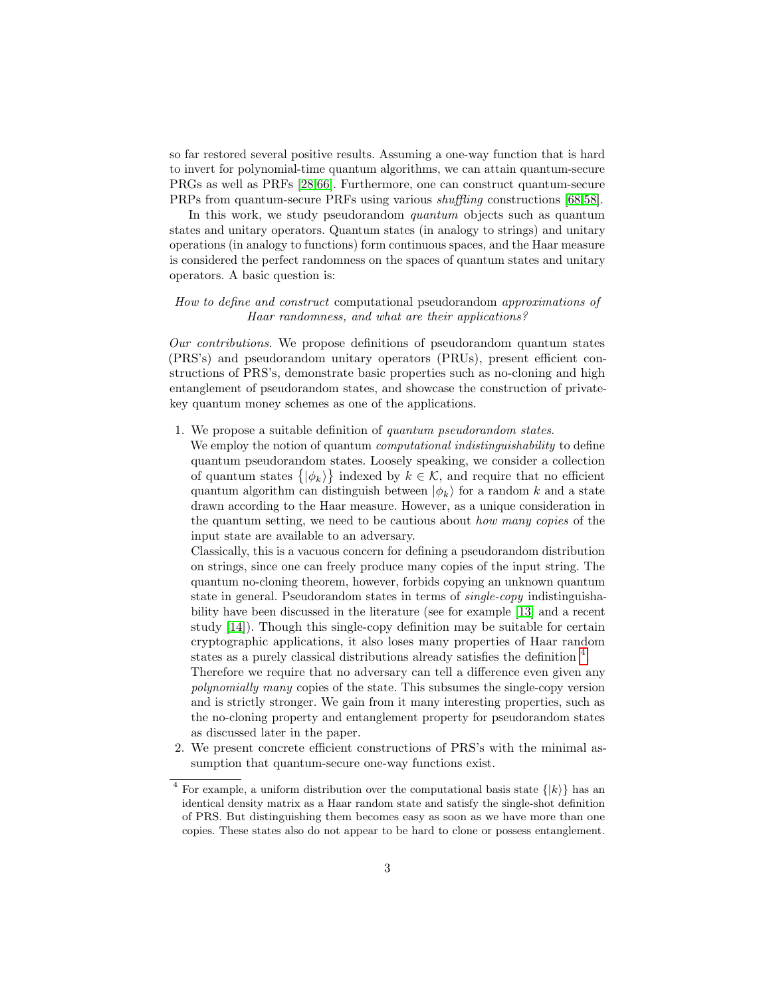so far restored several positive results. Assuming a one-way function that is hard to invert for polynomial-time quantum algorithms, we can attain quantum-secure PRGs as well as PRFs [\[28,](#page-24-2)[66\]](#page-26-6). Furthermore, one can construct quantum-secure PRPs from quantum-secure PRFs using various shuffling constructions [\[68,](#page-26-7)[58\]](#page-26-8).

In this work, we study pseudorandom quantum objects such as quantum states and unitary operators. Quantum states (in analogy to strings) and unitary operations (in analogy to functions) form continuous spaces, and the Haar measure is considered the perfect randomness on the spaces of quantum states and unitary operators. A basic question is:

### How to define and construct computational pseudorandom approximations of Haar randomness, and what are their applications?

Our contributions. We propose definitions of pseudorandom quantum states (PRS's) and pseudorandom unitary operators (PRUs), present efficient constructions of PRS's, demonstrate basic properties such as no-cloning and high entanglement of pseudorandom states, and showcase the construction of privatekey quantum money schemes as one of the applications.

1. We propose a suitable definition of quantum pseudorandom states.

We employ the notion of quantum *computational indistinguishability* to define quantum pseudorandom states. Loosely speaking, we consider a collection of quantum states  $\{|\phi_k\rangle\}$  indexed by  $k \in \mathcal{K}$ , and require that no efficient quantum algorithm can distinguish between  $|\phi_k\rangle$  for a random k and a state drawn according to the Haar measure. However, as a unique consideration in the quantum setting, we need to be cautious about how many copies of the input state are available to an adversary.

Classically, this is a vacuous concern for defining a pseudorandom distribution on strings, since one can freely produce many copies of the input string. The quantum no-cloning theorem, however, forbids copying an unknown quantum state in general. Pseudorandom states in terms of single-copy indistinguishability have been discussed in the literature (see for example [\[13\]](#page-23-8) and a recent study [\[14\]](#page-23-9)). Though this single-copy definition may be suitable for certain cryptographic applications, it also loses many properties of Haar random states as a purely classical distributions already satisfies the definition <sup>[4](#page-2-0)</sup>.

Therefore we require that no adversary can tell a difference even given any polynomially many copies of the state. This subsumes the single-copy version and is strictly stronger. We gain from it many interesting properties, such as the no-cloning property and entanglement property for pseudorandom states as discussed later in the paper.

2. We present concrete efficient constructions of PRS's with the minimal assumption that quantum-secure one-way functions exist.

<span id="page-2-0"></span><sup>&</sup>lt;sup>4</sup> For example, a uniform distribution over the computational basis state  $\{|k\rangle\}$  has an identical density matrix as a Haar random state and satisfy the single-shot definition of PRS. But distinguishing them becomes easy as soon as we have more than one copies. These states also do not appear to be hard to clone or possess entanglement.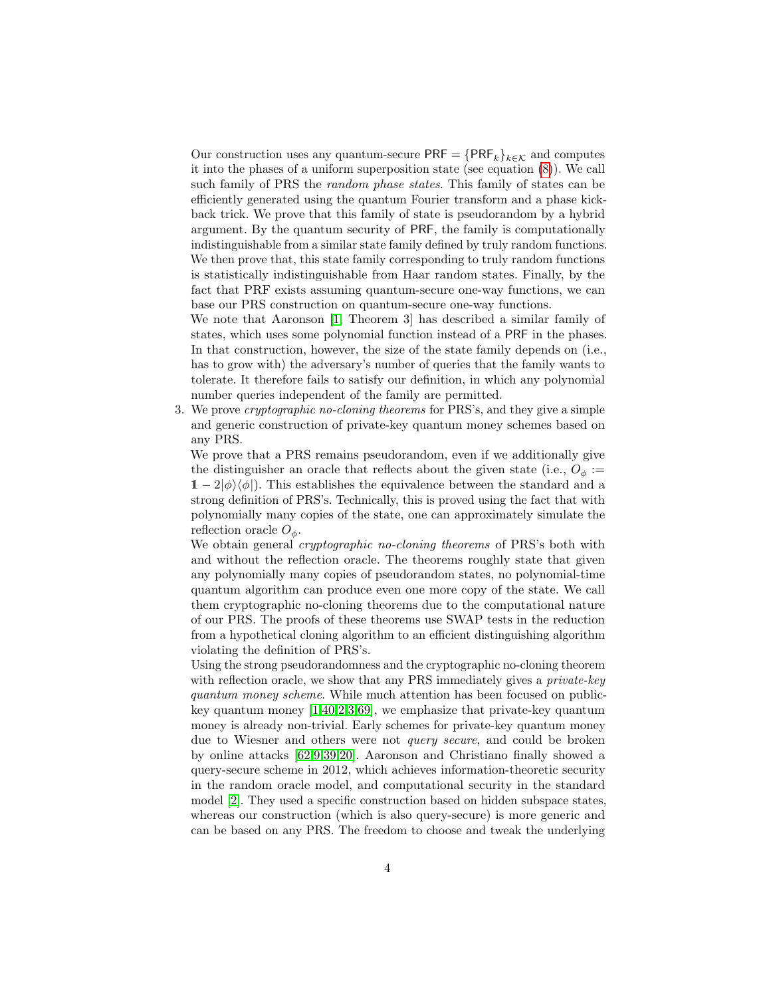Our construction uses any quantum-secure PRF =  $\{PRF_k\}_{k\in\mathcal{K}}$  and computes it into the phases of a uniform superposition state (see equation [\(8\)](#page-9-0)). We call such family of PRS the random phase states. This family of states can be efficiently generated using the quantum Fourier transform and a phase kickback trick. We prove that this family of state is pseudorandom by a hybrid argument. By the quantum security of PRF, the family is computationally indistinguishable from a similar state family defined by truly random functions. We then prove that, this state family corresponding to truly random functions is statistically indistinguishable from Haar random states. Finally, by the fact that PRF exists assuming quantum-secure one-way functions, we can base our PRS construction on quantum-secure one-way functions.

We note that Aaronson [\[1,](#page-23-5) Theorem 3] has described a similar family of states, which uses some polynomial function instead of a PRF in the phases. In that construction, however, the size of the state family depends on (i.e., has to grow with) the adversary's number of queries that the family wants to tolerate. It therefore fails to satisfy our definition, in which any polynomial number queries independent of the family are permitted.

3. We prove cryptographic no-cloning theorems for PRS's, and they give a simple and generic construction of private-key quantum money schemes based on any PRS.

We prove that a PRS remains pseudorandom, even if we additionally give the distinguisher an oracle that reflects about the given state (i.e.,  $O_{\phi}$  :=  $1 - 2|\phi\rangle\langle\phi|$ . This establishes the equivalence between the standard and a strong definition of PRS's. Technically, this is proved using the fact that with polynomially many copies of the state, one can approximately simulate the reflection oracle  $O_{\phi}$ .

We obtain general *cryptographic no-cloning theorems* of PRS's both with and without the reflection oracle. The theorems roughly state that given any polynomially many copies of pseudorandom states, no polynomial-time quantum algorithm can produce even one more copy of the state. We call them cryptographic no-cloning theorems due to the computational nature of our PRS. The proofs of these theorems use SWAP tests in the reduction from a hypothetical cloning algorithm to an efficient distinguishing algorithm violating the definition of PRS's.

Using the strong pseudorandomness and the cryptographic no-cloning theorem with reflection oracle, we show that any PRS immediately gives a *private-key* quantum money scheme. While much attention has been focused on publickey quantum money [\[1,](#page-23-5)[40,](#page-25-8)[2](#page-23-6)[,3](#page-23-7)[,69\]](#page-26-5), we emphasize that private-key quantum money is already non-trivial. Early schemes for private-key quantum money due to Wiesner and others were not *query secure*, and could be broken by online attacks [\[62](#page-26-9)[,9](#page-23-10)[,39,](#page-25-9)[20\]](#page-24-7). Aaronson and Christiano finally showed a query-secure scheme in 2012, which achieves information-theoretic security in the random oracle model, and computational security in the standard model [\[2\]](#page-23-6). They used a specific construction based on hidden subspace states, whereas our construction (which is also query-secure) is more generic and can be based on any PRS. The freedom to choose and tweak the underlying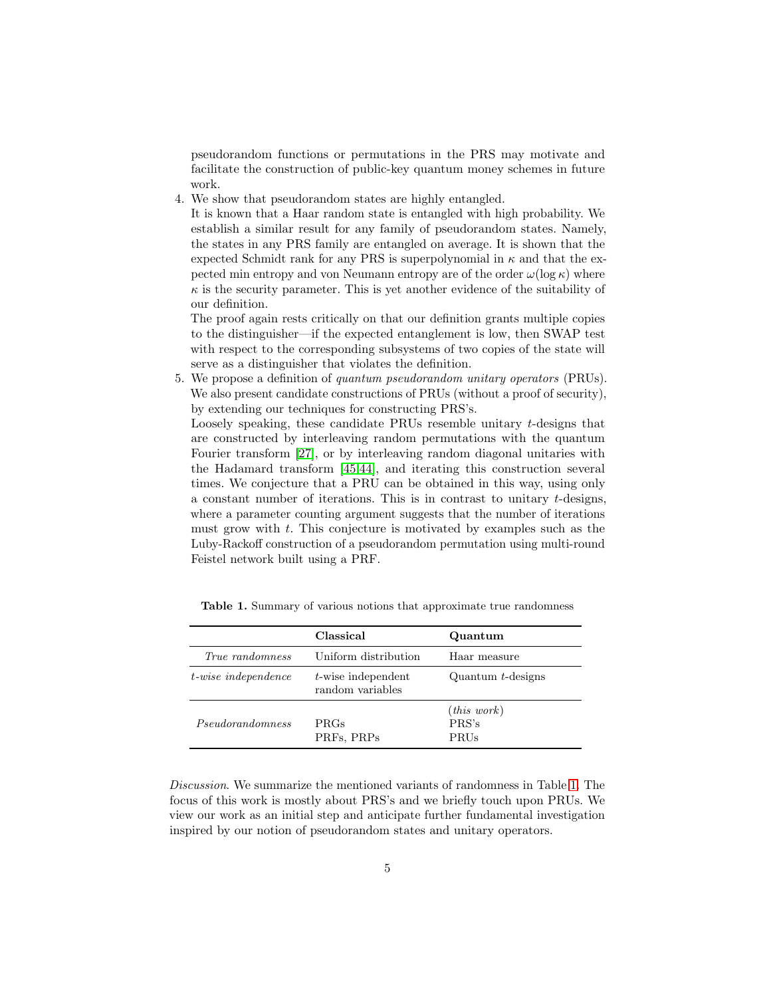pseudorandom functions or permutations in the PRS may motivate and facilitate the construction of public-key quantum money schemes in future work.

4. We show that pseudorandom states are highly entangled.

It is known that a Haar random state is entangled with high probability. We establish a similar result for any family of pseudorandom states. Namely, the states in any PRS family are entangled on average. It is shown that the expected Schmidt rank for any PRS is superpolynomial in  $\kappa$  and that the expected min entropy and von Neumann entropy are of the order  $\omega(\log \kappa)$  where  $\kappa$  is the security parameter. This is yet another evidence of the suitability of our definition.

The proof again rests critically on that our definition grants multiple copies to the distinguisher—if the expected entanglement is low, then SWAP test with respect to the corresponding subsystems of two copies of the state will serve as a distinguisher that violates the definition.

5. We propose a definition of quantum pseudorandom unitary operators (PRUs). We also present candidate constructions of PRUs (without a proof of security), by extending our techniques for constructing PRS's.

Loosely speaking, these candidate PRUs resemble unitary t-designs that are constructed by interleaving random permutations with the quantum Fourier transform [\[27\]](#page-24-5), or by interleaving random diagonal unitaries with the Hadamard transform [\[45,](#page-25-5)[44\]](#page-25-6), and iterating this construction several times. We conjecture that a PRU can be obtained in this way, using only a constant number of iterations. This is in contrast to unitary t-designs, where a parameter counting argument suggests that the number of iterations must grow with t. This conjecture is motivated by examples such as the Luby-Rackoff construction of a pseudorandom permutation using multi-round Feistel network built using a PRF.

|                             | Classical                                 | Quantum                      |
|-----------------------------|-------------------------------------------|------------------------------|
| <i>True randomness</i>      | Uniform distribution                      | Haar measure                 |
| <i>t</i> -wise independence | $t$ -wise independent<br>random variables | Quantum $t$ -designs         |
| Pseudorandomness            | <b>PRGs</b><br>PRFs, PRPs                 | (this work)<br>PRS's<br>PRUs |

<span id="page-4-0"></span>Table 1. Summary of various notions that approximate true randomness

Discussion. We summarize the mentioned variants of randomness in Table [1.](#page-4-0) The focus of this work is mostly about PRS's and we briefly touch upon PRUs. We view our work as an initial step and anticipate further fundamental investigation inspired by our notion of pseudorandom states and unitary operators.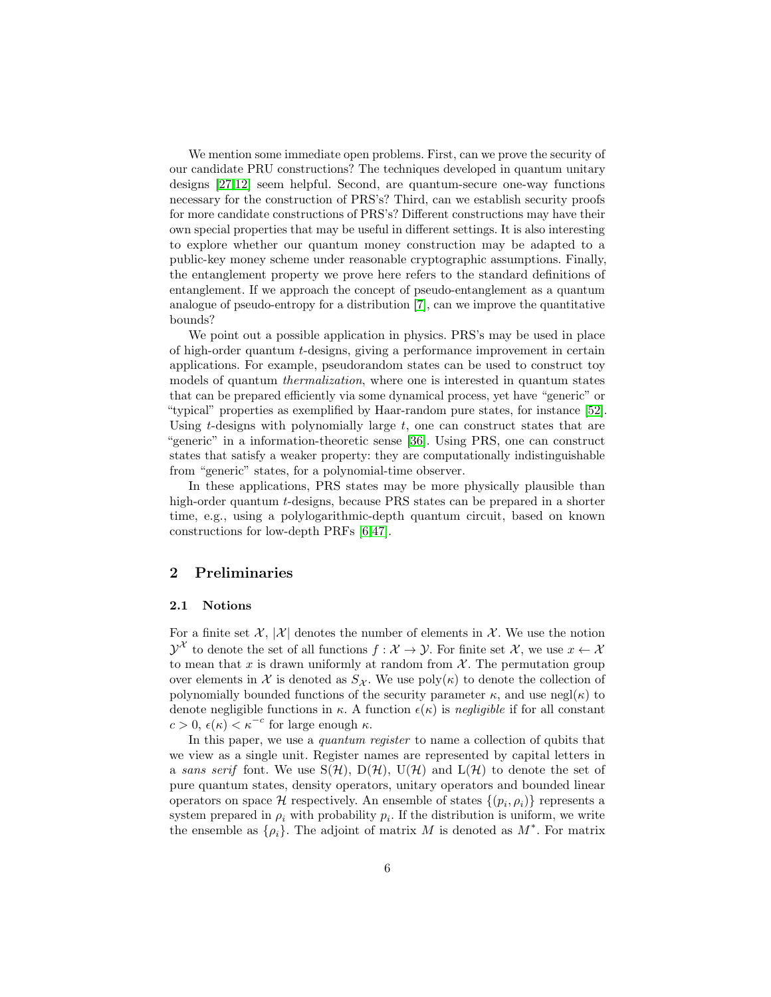We mention some immediate open problems. First, can we prove the security of our candidate PRU constructions? The techniques developed in quantum unitary designs [\[27,](#page-24-5)[12\]](#page-23-3) seem helpful. Second, are quantum-secure one-way functions necessary for the construction of PRS's? Third, can we establish security proofs for more candidate constructions of PRS's? Different constructions may have their own special properties that may be useful in different settings. It is also interesting to explore whether our quantum money construction may be adapted to a public-key money scheme under reasonable cryptographic assumptions. Finally, the entanglement property we prove here refers to the standard definitions of entanglement. If we approach the concept of pseudo-entanglement as a quantum analogue of pseudo-entropy for a distribution [\[7\]](#page-23-11), can we improve the quantitative bounds?

We point out a possible application in physics. PRS's may be used in place of high-order quantum t-designs, giving a performance improvement in certain applications. For example, pseudorandom states can be used to construct toy models of quantum thermalization, where one is interested in quantum states that can be prepared efficiently via some dynamical process, yet have "generic" or "typical" properties as exemplified by Haar-random pure states, for instance [\[52\]](#page-25-10). Using  $t$ -designs with polynomially large  $t$ , one can construct states that are "generic" in a information-theoretic sense [\[36\]](#page-25-11). Using PRS, one can construct states that satisfy a weaker property: they are computationally indistinguishable from "generic" states, for a polynomial-time observer.

In these applications, PRS states may be more physically plausible than high-order quantum t-designs, because PRS states can be prepared in a shorter time, e.g., using a polylogarithmic-depth quantum circuit, based on known constructions for low-depth PRFs [\[6,](#page-23-12)[47\]](#page-25-12).

# 2 Preliminaries

#### 2.1 Notions

For a finite set  $\mathcal{X}, |\mathcal{X}|$  denotes the number of elements in  $\mathcal{X}$ . We use the notion  $\mathcal{Y}^{\mathcal{X}}$  to denote the set of all functions  $f: \mathcal{X} \to \mathcal{Y}$ . For finite set  $\mathcal{X}$ , we use  $x \leftarrow \mathcal{X}$ to mean that  $x$  is drawn uniformly at random from  $\mathcal{X}$ . The permutation group over elements in X is denoted as  $S_{\mathcal{X}}$ . We use poly( $\kappa$ ) to denote the collection of polynomially bounded functions of the security parameter  $\kappa$ , and use negl( $\kappa$ ) to denote negligible functions in  $\kappa$ . A function  $\epsilon(\kappa)$  is negligible if for all constant  $c > 0, \epsilon(\kappa) < \kappa^{-c}$  for large enough  $\kappa$ .

In this paper, we use a quantum register to name a collection of qubits that we view as a single unit. Register names are represented by capital letters in a sans serif font. We use  $S(\mathcal{H})$ ,  $D(\mathcal{H})$ ,  $U(\mathcal{H})$  and  $L(\mathcal{H})$  to denote the set of pure quantum states, density operators, unitary operators and bounded linear operators on space  $\mathcal H$  respectively. An ensemble of states  $\{(p_i, \rho_i)\}$  represents a system prepared in  $\rho_i$  with probability  $p_i$ . If the distribution is uniform, we write the ensemble as  $\{\rho_i\}$ . The adjoint of matrix M is denoted as  $M^*$ . For matrix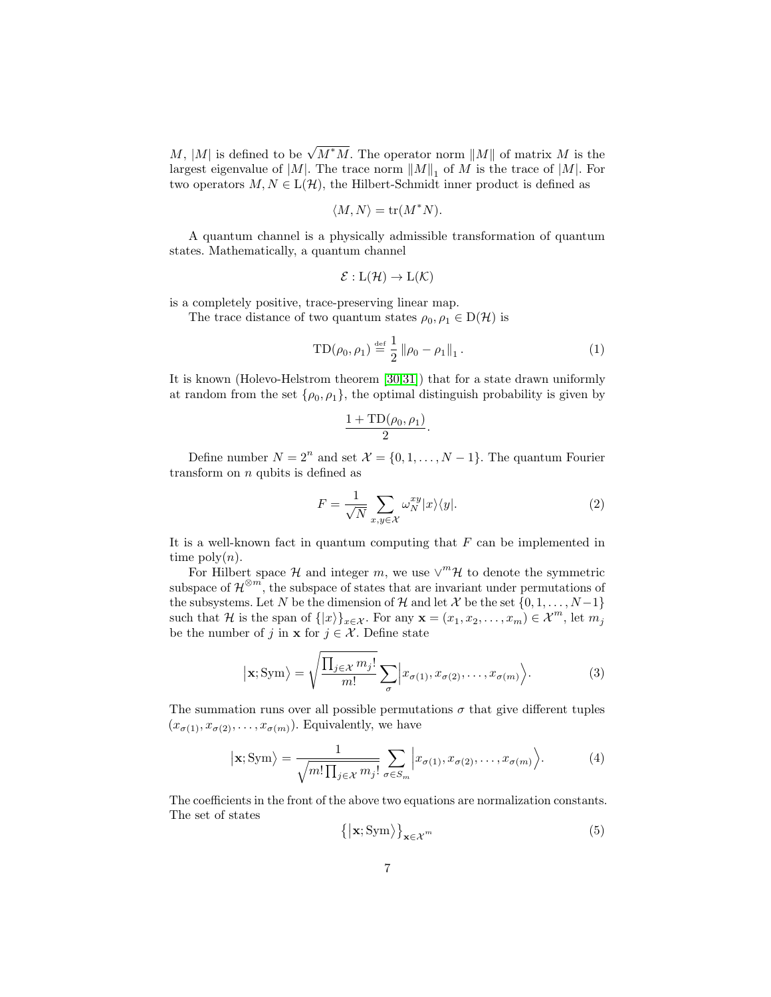M, |M| is defined to be  $\sqrt{M^*M}$ . The operator norm ||M|| of matrix M is the largest eigenvalue of  $|M|$ . The trace norm  $||M||_1$  of M is the trace of  $|M|$ . For two operators  $M, N \in L(\mathcal{H})$ , the Hilbert-Schmidt inner product is defined as

$$
\langle M, N \rangle = \text{tr}(M^*N).
$$

A quantum channel is a physically admissible transformation of quantum states. Mathematically, a quantum channel

$$
\mathcal{E}: L(\mathcal{H}) \to L(\mathcal{K})
$$

is a completely positive, trace-preserving linear map.

The trace distance of two quantum states  $\rho_0, \rho_1 \in D(\mathcal{H})$  is

$$
TD(\rho_0, \rho_1) \stackrel{\text{def}}{=} \frac{1}{2} ||\rho_0 - \rho_1||_1.
$$
 (1)

It is known (Holevo-Helstrom theorem [\[30](#page-24-8)[,31\]](#page-24-9)) that for a state drawn uniformly at random from the set  $\{\rho_0, \rho_1\}$ , the optimal distinguish probability is given by

$$
\frac{1+\text{TD}(\rho_0,\rho_1)}{2}.
$$

Define number  $N = 2^n$  and set  $\mathcal{X} = \{0, 1, \ldots, N-1\}$ . The quantum Fourier transform on  $n$  qubits is defined as

$$
F = \frac{1}{\sqrt{N}} \sum_{x,y \in \mathcal{X}} \omega_N^{xy} |x\rangle\langle y|.
$$
 (2)

It is a well-known fact in quantum computing that  $F$  can be implemented in time  $\text{poly}(n)$ .

For Hilbert space H and integer m, we use  $\vee^m$ H to denote the symmetric subspace of  $\mathcal{H}^{\otimes m}$ , the subspace of states that are invariant under permutations of the subsystems. Let N be the dimension of H and let X be the set  $\{0, 1, \ldots, N-1\}$ such that H is the span of  $\{|x\rangle\}_{x \in \mathcal{X}}$ . For any  $\mathbf{x} = (x_1, x_2, \dots, x_m) \in \mathcal{X}^m$ , let  $m_j$ be the number of j in **x** for  $j \in \mathcal{X}$ . Define state

$$
|\mathbf{x}; \text{Sym}\rangle = \sqrt{\frac{\prod_{j \in \mathcal{X}} m_j!}{m!}} \sum_{\sigma} \left| x_{\sigma(1)}, x_{\sigma(2)}, \dots, x_{\sigma(m)} \right\rangle. \tag{3}
$$

The summation runs over all possible permutations  $\sigma$  that give different tuples  $(x_{\sigma(1)}, x_{\sigma(2)}, \ldots, x_{\sigma(m)})$ . Equivalently, we have

<span id="page-6-0"></span>
$$
|\mathbf{x}; \text{Sym}\rangle = \frac{1}{\sqrt{m! \prod_{j \in \mathcal{X}} m_j!}} \sum_{\sigma \in S_m} \left| x_{\sigma(1)}, x_{\sigma(2)}, \dots, x_{\sigma(m)} \right\rangle. \tag{4}
$$

The coefficients in the front of the above two equations are normalization constants. The set of states

<span id="page-6-1"></span>
$$
\left\{ \left| \mathbf{x}; \text{Sym} \right\rangle \right\}_{\mathbf{x} \in \mathcal{X}^m} \tag{5}
$$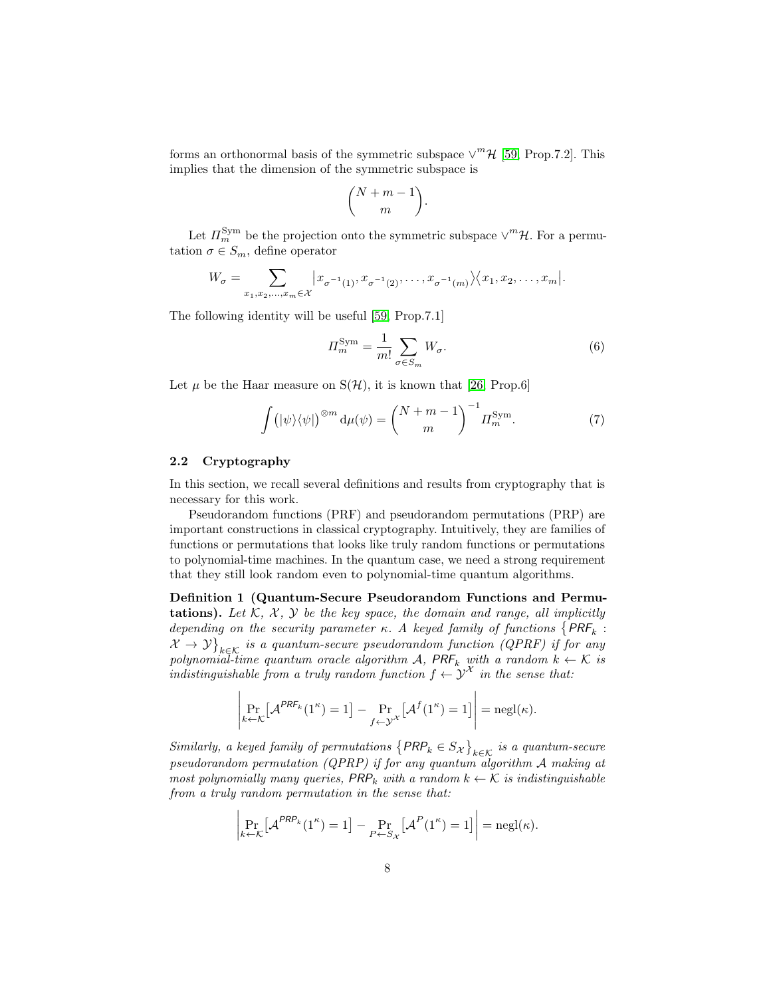forms an orthonormal basis of the symmetric subspace  $\vee^m$  H [\[59,](#page-26-10) Prop.7.2]. This implies that the dimension of the symmetric subspace is

$$
\binom{N+m-1}{m}.
$$

Let  $\Pi_m^{\text{Sym}}$  be the projection onto the symmetric subspace  $\vee^m \mathcal{H}$ . For a permutation  $\sigma \in S_m$ , define operator

$$
W_{\sigma} = \sum_{x_1, x_2, \dots, x_m \in \mathcal{X}} \left| x_{\sigma^{-1}(1)}, x_{\sigma^{-1}(2)}, \dots, x_{\sigma^{-1}(m)} \right\rangle \left\langle x_1, x_2, \dots, x_m \right|.
$$

The following identity will be useful [\[59,](#page-26-10) Prop.7.1]

<span id="page-7-1"></span>
$$
\Pi_m^{\text{Sym}} = \frac{1}{m!} \sum_{\sigma \in S_m} W_{\sigma}.
$$
\n(6)

Let  $\mu$  be the Haar measure on  $S(\mathcal{H})$ , it is known that [\[26,](#page-24-10) Prop.6]

<span id="page-7-0"></span>
$$
\int \left( |\psi\rangle\langle\psi| \right)^{\otimes m} d\mu(\psi) = \binom{N+m-1}{m}^{-1} \Pi_m^{\text{Sym}}.
$$
 (7)

#### 2.2 Cryptography

In this section, we recall several definitions and results from cryptography that is necessary for this work.

Pseudorandom functions (PRF) and pseudorandom permutations (PRP) are important constructions in classical cryptography. Intuitively, they are families of functions or permutations that looks like truly random functions or permutations to polynomial-time machines. In the quantum case, we need a strong requirement that they still look random even to polynomial-time quantum algorithms.

Definition 1 (Quantum-Secure Pseudorandom Functions and Permu**tations).** Let  $\mathcal{K}, \mathcal{X}, \mathcal{Y}$  be the key space, the domain and range, all implicitly depending on the security parameter  $\kappa$ . A keyed family of functions  $\{PRF_k:$  $\mathcal{X} \rightarrow \mathcal{Y}\big\}_{k \in \mathcal{K}}$  is a quantum-secure pseudorandom function (QPRF) if for any polynomial-time quantum oracle algorithm  $A$ ,  $\mathsf{PRF}_k$  with a random  $k \leftarrow \mathcal{K}$  is indistinguishable from a truly random function  $f \leftarrow \mathcal{Y}^{\mathcal{X}}$  in the sense that:

$$
\left|\Pr_{k \leftarrow \mathcal{K}}\left[\mathcal{A}^{PRF_k}(1^{\kappa}) = 1\right] - \Pr_{f \leftarrow \mathcal{Y}^{\mathcal{X}}}\left[\mathcal{A}^f(1^{\kappa}) = 1\right]\right| = \text{negl}(\kappa).
$$

Similarly, a keyed family of permutations  $\{PRP_k \in S_{\mathcal{X}}\}_{k \in \mathcal{K}}$  is a quantum-secure pseudorandom permutation (QPRP) if for any quantum algorithm A making at most polynomially many queries,  $PRP_k$  with a random  $k \leftarrow K$  is indistinguishable from a truly random permutation in the sense that:

$$
\left| \Pr_{k \leftarrow \mathcal{K}} \left[ \mathcal{A}^{PRP_k}(1^{\kappa}) = 1 \right] - \Pr_{P \leftarrow S_{\mathcal{X}}} \left[ \mathcal{A}^P(1^{\kappa}) = 1 \right] \right| = \text{negl}(\kappa).
$$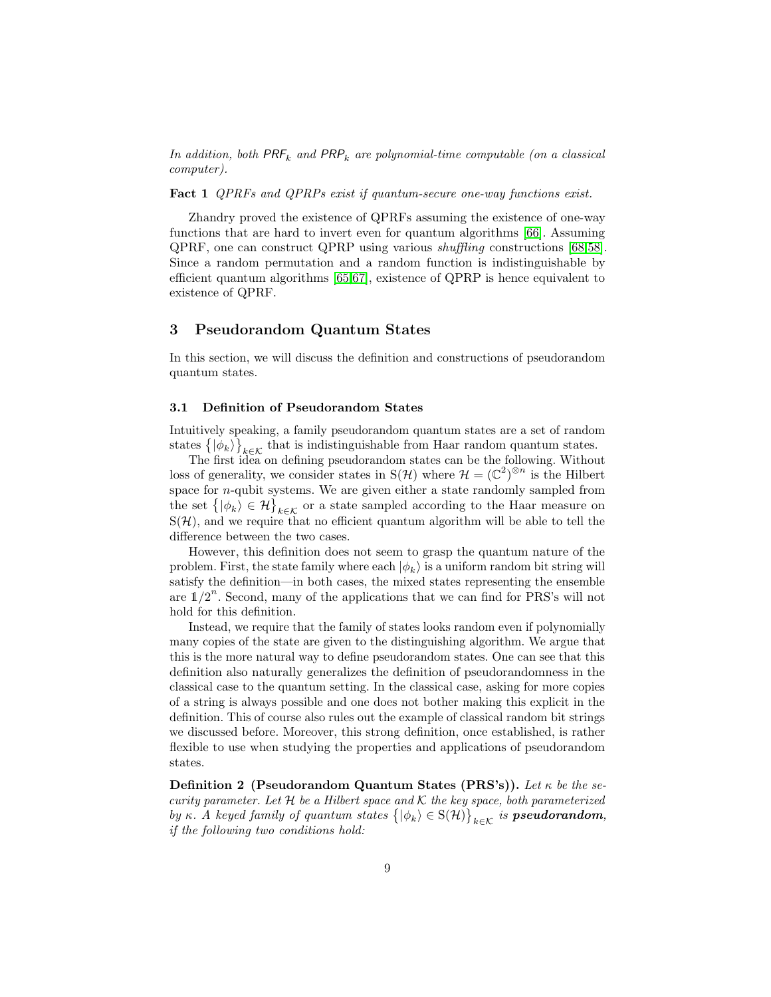In addition, both  $\mathsf{PRF}_k$  and  $\mathsf{PRP}_k$  are polynomial-time computable (on a classical computer).

Fact 1 QPRFs and QPRPs exist if quantum-secure one-way functions exist.

Zhandry proved the existence of QPRFs assuming the existence of one-way functions that are hard to invert even for quantum algorithms [\[66\]](#page-26-6). Assuming QPRF, one can construct QPRP using various shuffling constructions [\[68](#page-26-7)[,58\]](#page-26-8). Since a random permutation and a random function is indistinguishable by efficient quantum algorithms [\[65](#page-26-11)[,67\]](#page-26-12), existence of QPRP is hence equivalent to existence of QPRF.

# 3 Pseudorandom Quantum States

In this section, we will discuss the definition and constructions of pseudorandom quantum states.

### 3.1 Definition of Pseudorandom States

Intuitively speaking, a family pseudorandom quantum states are a set of random states  $\{|\phi_k\rangle\}_{k\in\mathcal{K}}$  that is indistinguishable from Haar random quantum states.

The first idea on defining pseudorandom states can be the following. Without loss of generality, we consider states in  $S(\mathcal{H})$  where  $\mathcal{H} = (\mathbb{C}^2)^{\otimes n}$  is the Hilbert space for n-qubit systems. We are given either a state randomly sampled from the set  $\{|\phi_k\rangle \in \mathcal{H}\}_{k\in\mathcal{K}}$  or a state sampled according to the Haar measure on  $S(\mathcal{H})$ , and we require that no efficient quantum algorithm will be able to tell the difference between the two cases.

However, this definition does not seem to grasp the quantum nature of the problem. First, the state family where each  $|\phi_k\rangle$  is a uniform random bit string will satisfy the definition—in both cases, the mixed states representing the ensemble are  $1/2^n$ . Second, many of the applications that we can find for PRS's will not hold for this definition.

Instead, we require that the family of states looks random even if polynomially many copies of the state are given to the distinguishing algorithm. We argue that this is the more natural way to define pseudorandom states. One can see that this definition also naturally generalizes the definition of pseudorandomness in the classical case to the quantum setting. In the classical case, asking for more copies of a string is always possible and one does not bother making this explicit in the definition. This of course also rules out the example of classical random bit strings we discussed before. Moreover, this strong definition, once established, is rather flexible to use when studying the properties and applications of pseudorandom states.

Definition 2 (Pseudorandom Quantum States (PRS's)). Let  $\kappa$  be the security parameter. Let  $\mathcal H$  be a Hilbert space and  $\mathcal K$  the key space, both parameterized by κ. A keyed family of quantum states  $\{|\phi_k\rangle \in S(H)\big\}_{k\in\mathcal{K}}$  is **pseudorandom**, if the following two conditions hold: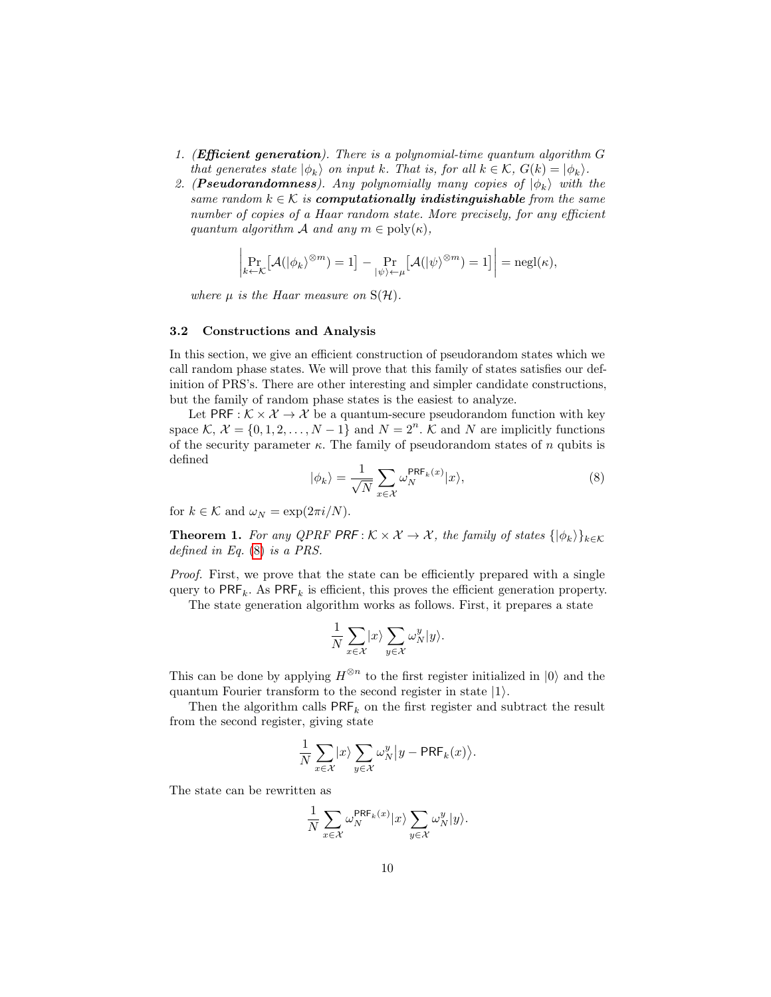- 1. (**Efficient generation**). There is a polynomial-time quantum algorithm  $G$ that generates state  $|\phi_k\rangle$  on input k. That is, for all  $k \in \mathcal{K}$ ,  $G(k) = |\phi_k\rangle$ .
- 2. (**Pseudorandomness**). Any polynomially many copies of  $|\phi_k\rangle$  with the same random  $k \in \mathcal{K}$  is **computationally indistinguishable** from the same number of copies of a Haar random state. More precisely, for any efficient quantum algorithm A and any  $m \in \text{poly}(\kappa)$ ,

$$
\left|\Pr_{k \leftarrow \mathcal{K}}\left[\mathcal{A}(|\phi_k\rangle^{\otimes m}) = 1\right] - \Pr_{|\psi\rangle \leftarrow \mu}\left[\mathcal{A}(|\psi\rangle^{\otimes m}) = 1\right]\right| = \text{negl}(\kappa),
$$

where  $\mu$  is the Haar measure on  $S(\mathcal{H})$ .

### 3.2 Constructions and Analysis

In this section, we give an efficient construction of pseudorandom states which we call random phase states. We will prove that this family of states satisfies our definition of PRS's. There are other interesting and simpler candidate constructions, but the family of random phase states is the easiest to analyze.

Let PRF :  $K \times \mathcal{X} \rightarrow \mathcal{X}$  be a quantum-secure pseudorandom function with key space  $\mathcal{K}, \mathcal{X} = \{0, 1, 2, \ldots, N - 1\}$  and  $N = 2<sup>n</sup>$ .  $\mathcal{K}$  and N are implicitly functions of the security parameter  $\kappa$ . The family of pseudorandom states of n qubits is defined

<span id="page-9-0"></span>
$$
|\phi_k\rangle = \frac{1}{\sqrt{N}} \sum_{x \in \mathcal{X}} \omega_N^{\text{PRF}_k(x)} |x\rangle, \tag{8}
$$

for  $k \in \mathcal{K}$  and  $\omega_N = \exp(2\pi i/N)$ .

**Theorem 1.** For any QPRF PRF :  $K \times \mathcal{X} \rightarrow \mathcal{X}$ , the family of states  $\{|\phi_k\rangle\}_{k \in \mathcal{K}}$ defined in Eq. [\(8\)](#page-9-0) is a PRS.

Proof. First, we prove that the state can be efficiently prepared with a single query to  $\mathsf{PRF}_k$ . As  $\mathsf{PRF}_k$  is efficient, this proves the efficient generation property.

The state generation algorithm works as follows. First, it prepares a state

$$
\frac{1}{N}\sum_{x\in\mathcal{X}}|x\rangle\sum_{y\in\mathcal{X}}\omega_N^y|y\rangle.
$$

This can be done by applying  $H^{\otimes n}$  to the first register initialized in  $|0\rangle$  and the quantum Fourier transform to the second register in state  $|1\rangle$ .

Then the algorithm calls  $\mathsf{PRF}_k$  on the first register and subtract the result from the second register, giving state

$$
\frac{1}{N} \sum_{x \in \mathcal{X}} |x\rangle \sum_{y \in \mathcal{X}} \omega_N^y |y - \text{PRF}_k(x)\rangle.
$$

The state can be rewritten as

$$
\frac{1}{N}\sum_{x\in\mathcal{X}}\omega_N^{\mathsf{PRF}_k(x)}|x\rangle\sum_{y\in\mathcal{X}}\omega_N^y|y\rangle.
$$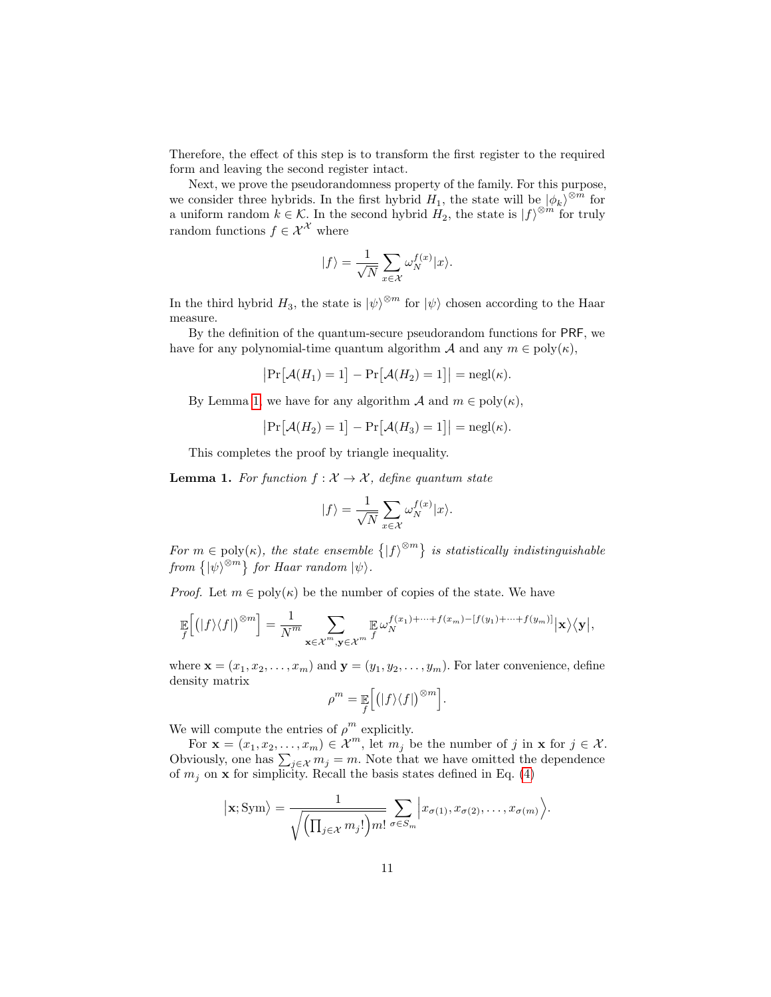Therefore, the effect of this step is to transform the first register to the required form and leaving the second register intact.

Next, we prove the pseudorandomness property of the family. For this purpose, we consider three hybrids. In the first hybrid  $H_1$ , the state will be  $|\phi_k\rangle^{\otimes m}$  for a uniform random  $k \in \mathcal{K}$ . In the second hybrid  $H_2$ , the state is  $|f\rangle^{\otimes m}$  for truly random functions  $f \in \mathcal{X}^{\mathcal{X}}$  where

$$
|f\rangle = \frac{1}{\sqrt{N}} \sum_{x \in \mathcal{X}} \omega_N^{f(x)} |x\rangle.
$$

In the third hybrid  $H_3$ , the state is  $|\psi\rangle^{\otimes m}$  for  $|\psi\rangle$  chosen according to the Haar measure.

By the definition of the quantum-secure pseudorandom functions for PRF, we have for any polynomial-time quantum algorithm  $\mathcal A$  and any  $m \in \text{poly}(\kappa)$ ,

$$
\left|\Pr\left[\mathcal{A}(H_1)=1\right]-\Pr\left[\mathcal{A}(H_2)=1\right]\right|=\operatorname{negl}(\kappa).
$$

By Lemma [1,](#page-10-0) we have for any algorithm A and  $m \in \text{poly}(\kappa)$ ,

$$
\left|\Pr\left[\mathcal{A}(H_2) = 1\right] - \Pr\left[\mathcal{A}(H_3) = 1\right]\right| = \text{negl}(\kappa).
$$

This completes the proof by triangle inequality.

<span id="page-10-0"></span>**Lemma 1.** For function  $f: \mathcal{X} \to \mathcal{X}$ , define quantum state

$$
|f\rangle = \frac{1}{\sqrt{N}} \sum_{x \in \mathcal{X}} \omega_N^{f(x)} |x\rangle.
$$

For  $m \in \text{poly}(\kappa)$ , the state ensemble  $\{|f\rangle^{\otimes m}\}\$ is statistically indistinguishable from  $\{|\psi\rangle^{\otimes m}\}$  for Haar random  $|\psi\rangle$ .

*Proof.* Let  $m \in \text{poly}(\kappa)$  be the number of copies of the state. We have

$$
\mathbb{E}\left[\left(|f\rangle\langle f|\right)^{\otimes m}\right] = \frac{1}{N^m} \sum_{\mathbf{x}\in \mathcal{X}^m, \mathbf{y}\in \mathcal{X}^m} \mathbb{E} \omega_N^{f(x_1)+\cdots+f(x_m)-[f(y_1)+\cdots+f(y_m)]} |\mathbf{x}\rangle\langle \mathbf{y}|,
$$

where  $\mathbf{x} = (x_1, x_2, \dots, x_m)$  and  $\mathbf{y} = (y_1, y_2, \dots, y_m)$ . For later convenience, define density matrix

$$
\rho^m = \mathop{\mathbb{E}}_{f} \Big[ \big(|f\rangle\langle f| \big)^{\otimes m} \Big].
$$

We will compute the entries of  $\rho^m$  explicitly.

For  $\mathbf{x} = (x_1, x_2, \dots, x_m) \in \mathcal{X}^m$ , let  $m_j$  be the number of j in  $\mathbf{x}$  for  $j \in \mathcal{X}$ . Obviously, one has  $\sum_{j \in \mathcal{X}} m_j = m$ . Note that we have omitted the dependence of  $m_i$  on **x** for simplicity. Recall the basis states defined in Eq. [\(4\)](#page-6-0)

$$
|\mathbf{x}; \text{Sym}\rangle = \frac{1}{\sqrt{\left(\prod_{j \in \mathcal{X}} m_j!\right) m!}} \sum_{\sigma \in S_m} \left| x_{\sigma(1)}, x_{\sigma(2)}, \dots, x_{\sigma(m)} \right\rangle.
$$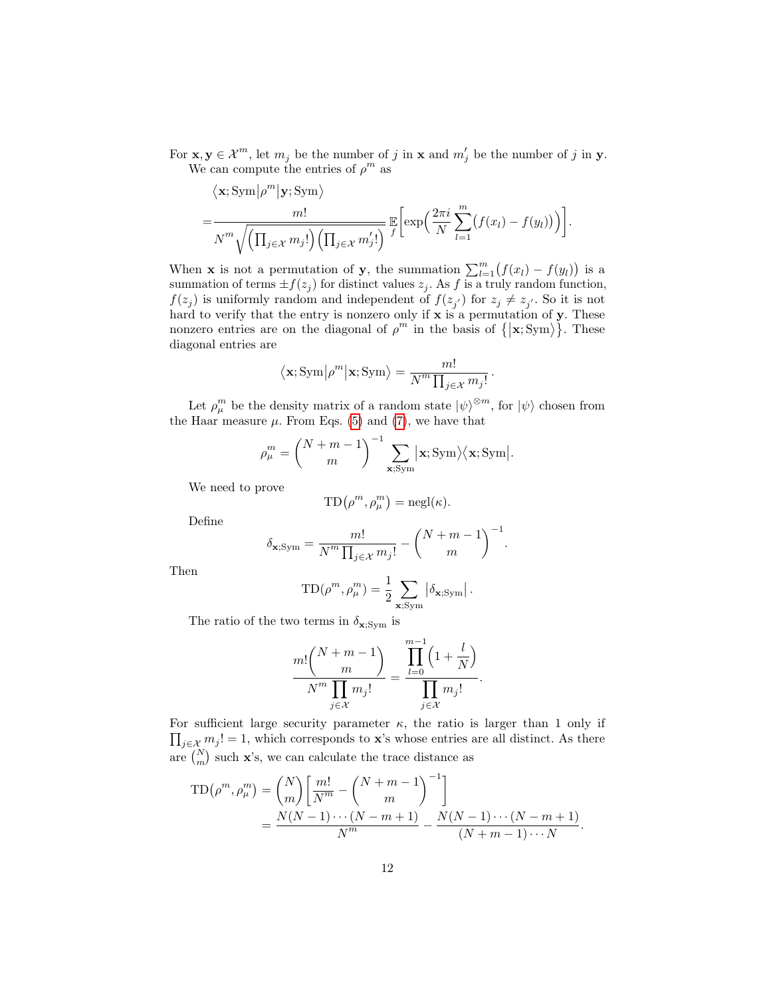For  $\mathbf{x}, \mathbf{y} \in \mathcal{X}^m$ , let  $m_j$  be the number of j in  $\mathbf{x}$  and  $m'_j$  be the number of j in  $\mathbf{y}$ . We can compute the entries of  $\rho^m$  as

$$
\langle \mathbf{x}; \mathrm{Sym} | \rho^m | \mathbf{y}; \mathrm{Sym} \rangle
$$
  
= 
$$
\frac{m!}{N^m \sqrt{\left(\prod_{j \in \mathcal{X}} m_j! \right) \left(\prod_{j \in \mathcal{X}} m'_j! \right)}} \mathbb{E} \left[ \exp \left( \frac{2\pi i}{N} \sum_{l=1}^m \left( f(x_l) - f(y_l) \right) \right) \right].
$$

When **x** is not a permutation of **y**, the summation  $\sum_{l=1}^{m} (f(x_l) - f(y_l))$  is a summation of terms  $\pm f(z_j)$  for distinct values  $z_j$ . As f is a truly random function,  $f(z_j)$  is uniformly random and independent of  $f(z_{j'})$  for  $z_j \neq z_{j'}$ . So it is not hard to verify that the entry is nonzero only if  $\mathbf x$  is a permutation of  $\mathbf y$ . These nonzero entries are on the diagonal of  $\rho^{m}$  in the basis of  $\{|\mathbf{x}; \text{Sym} \rangle\}$ . These diagonal entries are

$$
\langle \mathbf{x}; \mathrm{Sym} \left| \rho^m \right| \mathbf{x}; \mathrm{Sym} \rangle = \frac{m!}{N^m \prod_{j \in \mathcal{X}} m_j!}.
$$

Let  $\rho_{\mu}^{m}$  be the density matrix of a random state  $|\psi\rangle^{\otimes m}$ , for  $|\psi\rangle$  chosen from the Haar measure  $\mu$ . From Eqs. [\(5\)](#page-6-1) and [\(7\)](#page-7-0), we have that

$$
\rho_{\mu}^{m} = {N+m-1 \choose m}^{-1} \sum_{\mathbf{x}; \text{Sym}} |\mathbf{x}; \text{Sym} \rangle \langle \mathbf{x}; \text{Sym}|.
$$

We need to prove

$$
TD(\rho^m, \rho^m_\mu) = \text{negl}(\kappa).
$$

Define

$$
\delta_{\mathbf{x};\text{Sym}} = \frac{m!}{N^m \prod_{j \in \mathcal{X}} m_j!} - \binom{N+m-1}{m}^{-1}.
$$

Then

$$
TD(\rho^m, \rho^m_\mu) = \frac{1}{2} \sum_{\mathbf{x}; \text{Sym}} \left| \delta_{\mathbf{x}; \text{Sym}} \right|.
$$

The ratio of the two terms in  $\delta_{\mathbf{x};\text{Sym}}$  is

$$
\frac{m!\binom{N+m-1}{m}}{N^m \prod_{j\in\mathcal{X}} m_j!} = \frac{\prod_{l=0}^{m-1} \left(1 + \frac{l}{N}\right)}{\prod_{j\in\mathcal{X}} m_j!}.
$$

For sufficient large security parameter  $\kappa$ , the ratio is larger than 1 only if  $\prod_{j\in\mathcal{X}} m_j! = 1$ , which corresponds to **x**'s whose entries are all distinct. As there are  $\binom{N}{m}$  such **x**'s, we can calculate the trace distance as

$$
TD(\rho^m, \rho^m_\mu) = {N \choose m} \left[ \frac{m!}{N^m} - {N+m-1 \choose m}^{-1} \right] = \frac{N(N-1)\cdots(N-m+1)}{N^m} - \frac{N(N-1)\cdots(N-m+1)}{(N+m-1)\cdots N}.
$$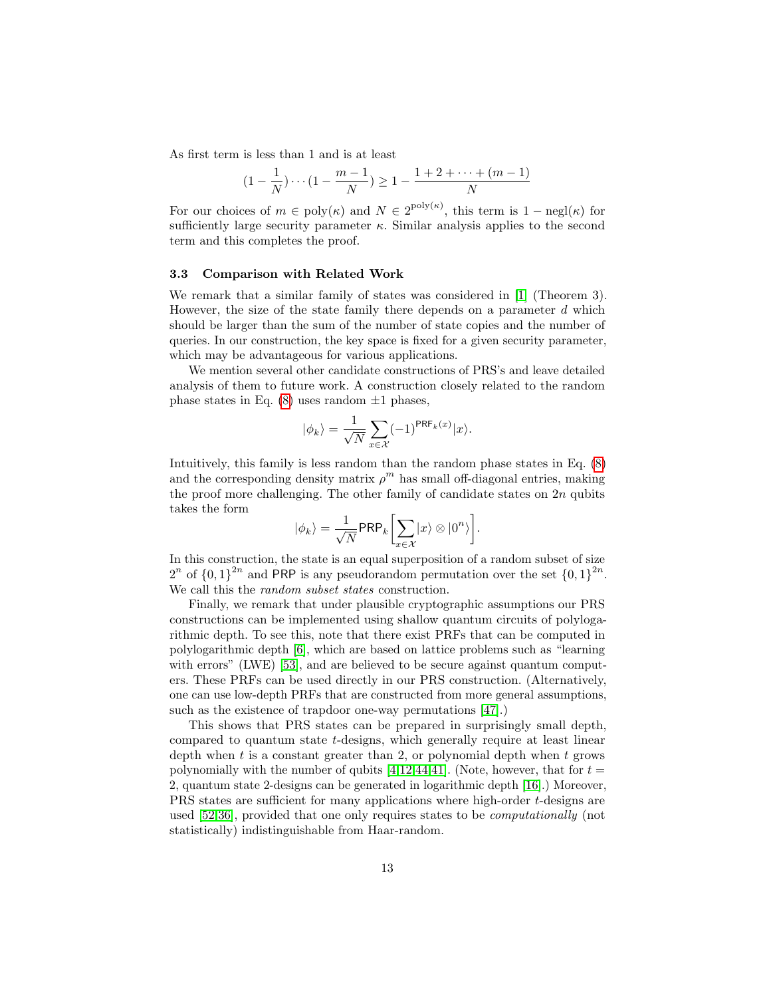As first term is less than 1 and is at least

$$
(1 - \frac{1}{N}) \cdots (1 - \frac{m-1}{N}) \ge 1 - \frac{1 + 2 + \cdots + (m-1)}{N}
$$

For our choices of  $m \in \text{poly}(\kappa)$  and  $N \in 2^{\text{poly}(\kappa)}$ , this term is  $1 - \text{negl}(\kappa)$  for sufficiently large security parameter  $\kappa$ . Similar analysis applies to the second term and this completes the proof.

#### 3.3 Comparison with Related Work

We remark that a similar family of states was considered in [\[1\]](#page-23-5) (Theorem 3). However, the size of the state family there depends on a parameter  $d$  which should be larger than the sum of the number of state copies and the number of queries. In our construction, the key space is fixed for a given security parameter, which may be advantageous for various applications.

We mention several other candidate constructions of PRS's and leave detailed analysis of them to future work. A construction closely related to the random phase states in Eq.  $(8)$  uses random  $\pm 1$  phases,

$$
|\phi_k\rangle = \frac{1}{\sqrt{N}} \sum_{x \in \mathcal{X}} (-1)^{\mathsf{PRF}_k(x)} |x\rangle.
$$

Intuitively, this family is less random than the random phase states in Eq. [\(8\)](#page-9-0) and the corresponding density matrix  $\rho^{m}$  has small off-diagonal entries, making the proof more challenging. The other family of candidate states on  $2n$  qubits takes the form

$$
|\phi_k\rangle = \frac{1}{\sqrt{N}} \text{PRP}_k \bigg[ \sum_{x \in \mathcal{X}} |x\rangle \otimes |0^n\rangle \bigg].
$$

In this construction, the state is an equal superposition of a random subset of size  $2^{n}$  of  $\{0,1\}^{2n}$  and PRP is any pseudorandom permutation over the set  $\{0,1\}^{2n}$ . We call this the *random subset states* construction.

Finally, we remark that under plausible cryptographic assumptions our PRS constructions can be implemented using shallow quantum circuits of polylogarithmic depth. To see this, note that there exist PRFs that can be computed in polylogarithmic depth [\[6\]](#page-23-12), which are based on lattice problems such as "learning with errors" (LWE) [\[53\]](#page-25-13), and are believed to be secure against quantum computers. These PRFs can be used directly in our PRS construction. (Alternatively, one can use low-depth PRFs that are constructed from more general assumptions, such as the existence of trapdoor one-way permutations [\[47\]](#page-25-12).)

This shows that PRS states can be prepared in surprisingly small depth, compared to quantum state t-designs, which generally require at least linear depth when  $t$  is a constant greater than 2, or polynomial depth when  $t$  grows polynomially with the number of qubits [\[4](#page-23-2)[,12](#page-23-3)[,44,](#page-25-6)[41\]](#page-25-7). (Note, however, that for  $t =$ 2, quantum state 2-designs can be generated in logarithmic depth [\[16\]](#page-24-6).) Moreover, PRS states are sufficient for many applications where high-order t-designs are used [\[52,](#page-25-10)[36\]](#page-25-11), provided that one only requires states to be computationally (not statistically) indistinguishable from Haar-random.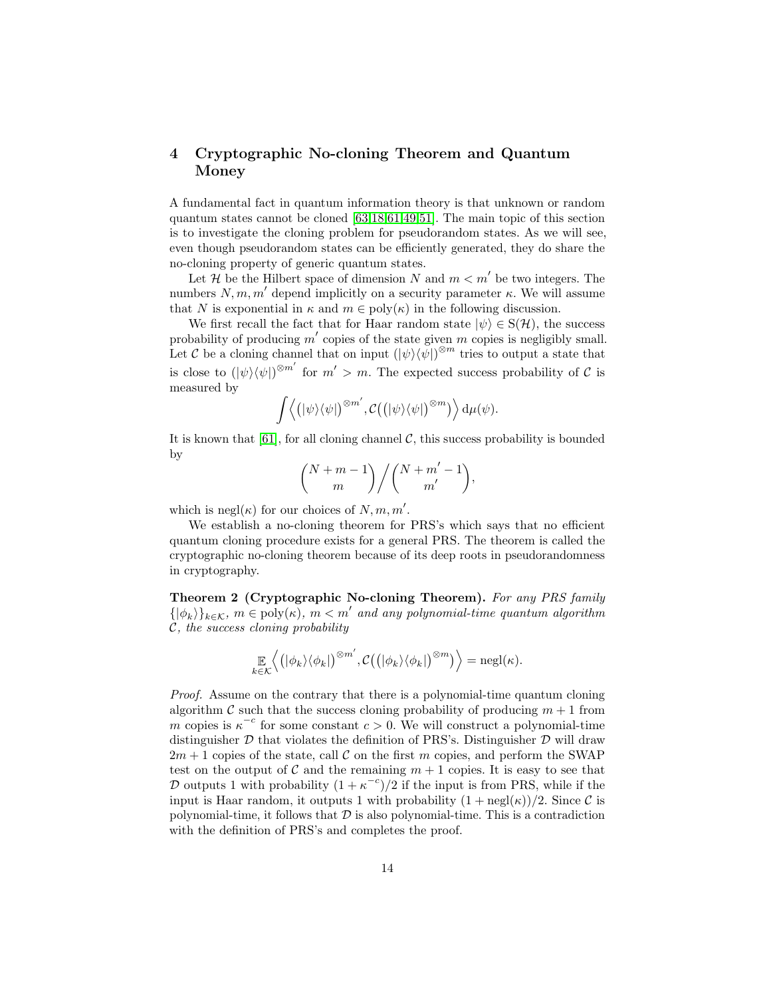# 4 Cryptographic No-cloning Theorem and Quantum Money

A fundamental fact in quantum information theory is that unknown or random quantum states cannot be cloned [\[63](#page-26-13)[,18,](#page-24-11)[61](#page-26-14)[,49](#page-25-14)[,51\]](#page-25-15). The main topic of this section is to investigate the cloning problem for pseudorandom states. As we will see, even though pseudorandom states can be efficiently generated, they do share the no-cloning property of generic quantum states.

Let  $\overline{\mathcal{H}}$  be the Hilbert space of dimension N and  $m < m'$  be two integers. The numbers  $N, m, m'$  depend implicitly on a security parameter  $\kappa$ . We will assume that N is exponential in  $\kappa$  and  $m \in \text{poly}(\kappa)$  in the following discussion.

We first recall the fact that for Haar random state  $|\psi\rangle \in S(H)$ , the success probability of producing  $m'$  copies of the state given m copies is negligibly small. Let C be a cloning channel that on input  $(|\psi\rangle \langle \psi|)^{\otimes m}$  tries to output a state that is close to  $(|\psi\rangle\langle\psi|)^{\otimes m'}$  for  $m' > m$ . The expected success probability of C is measured by

$$
\int \Bigl\langle \bigl(|\psi\rangle \langle \psi|\bigr)^{\otimes m'}, \mathcal{C}\bigl(\bigl(|\psi\rangle \langle \psi|\bigr)^{\otimes m}\bigr)\Bigr\rangle \, \mathrm{d}\mu(\psi).
$$

It is known that [\[61\]](#page-26-14), for all cloning channel  $\mathcal{C}$ , this success probability is bounded by

$$
\binom{N+m-1}{m}\Bigg/\binom{N+m'-1}{m'},
$$

which is negl( $\kappa$ ) for our choices of  $N, m, m'$ .

We establish a no-cloning theorem for PRS's which says that no efficient quantum cloning procedure exists for a general PRS. The theorem is called the cryptographic no-cloning theorem because of its deep roots in pseudorandomness in cryptography.

<span id="page-13-0"></span>Theorem 2 (Cryptographic No-cloning Theorem). For any PRS family  $\{\ket{\phi_k}\}_{k\in\mathcal{K}}$ ,  $m\in\mathrm{poly}(\kappa)$ ,  $m < m'$  and any polynomial-time quantum algorithm C, the success cloning probability

$$
\mathop{\mathbb{E}}_{k \in \mathcal{K}} \left\langle (|\phi_k\rangle \langle \phi_k|)^{\otimes m'}, \mathcal{C}\big((|\phi_k\rangle \langle \phi_k|)^{\otimes m}\big) \right\rangle = \mathrm{negl}(\kappa).
$$

Proof. Assume on the contrary that there is a polynomial-time quantum cloning algorithm C such that the success cloning probability of producing  $m + 1$  from m copies is  $\kappa^{-c}$  for some constant  $c > 0$ . We will construct a polynomial-time distinguisher  $D$  that violates the definition of PRS's. Distinguisher  $D$  will draw  $2m + 1$  copies of the state, call C on the first m copies, and perform the SWAP test on the output of C and the remaining  $m + 1$  copies. It is easy to see that D outputs 1 with probability  $(1 + \kappa^{-c})/2$  if the input is from PRS, while if the input is Haar random, it outputs 1 with probability  $(1 + \text{negl}(\kappa))/2$ . Since C is polynomial-time, it follows that  $D$  is also polynomial-time. This is a contradiction with the definition of PRS's and completes the proof.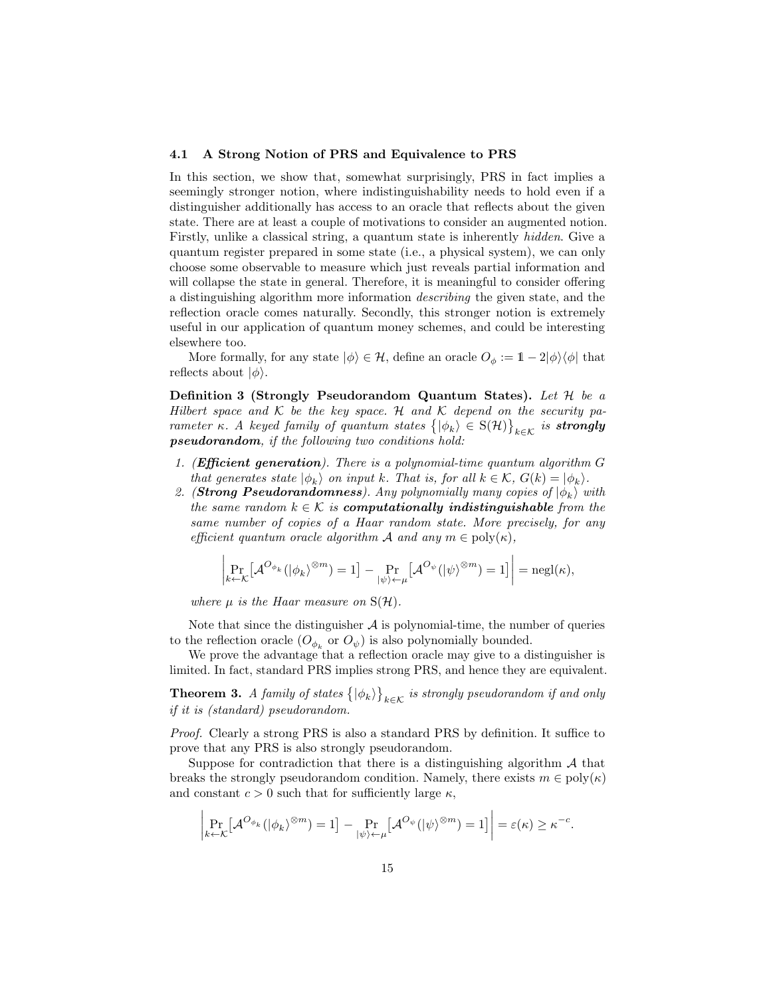### 4.1 A Strong Notion of PRS and Equivalence to PRS

In this section, we show that, somewhat surprisingly, PRS in fact implies a seemingly stronger notion, where indistinguishability needs to hold even if a distinguisher additionally has access to an oracle that reflects about the given state. There are at least a couple of motivations to consider an augmented notion. Firstly, unlike a classical string, a quantum state is inherently hidden. Give a quantum register prepared in some state (i.e., a physical system), we can only choose some observable to measure which just reveals partial information and will collapse the state in general. Therefore, it is meaningful to consider offering a distinguishing algorithm more information describing the given state, and the reflection oracle comes naturally. Secondly, this stronger notion is extremely useful in our application of quantum money schemes, and could be interesting elsewhere too.

More formally, for any state  $|\phi\rangle \in \mathcal{H}$ , define an oracle  $O_{\phi} := 1 - 2|\phi\rangle\langle\phi|$  that reflects about  $|\phi\rangle$ .

Definition 3 (Strongly Pseudorandom Quantum States). Let  $\mathcal H$  be a Hilbert space and  $K$  be the key space. H and  $K$  depend on the security parameter κ. A keyed family of quantum states  $\{|\phi_k\rangle \in S(H)\}_{k\in\mathcal{K}}$  is strongly pseudorandom, if the following two conditions hold:

- 1. (Efficient generation). There is a polynomial-time quantum algorithm G that generates state  $|\phi_k\rangle$  on input k. That is, for all  $k \in \mathcal{K}$ ,  $G(k) = |\phi_k\rangle$ .
- 2. (**Strong Pseudorandomness**). Any polynomially many copies of  $|\phi_k\rangle$  with the same random  $k \in \mathcal{K}$  is **computationally indistinguishable** from the same number of copies of a Haar random state. More precisely, for any efficient quantum oracle algorithm A and any  $m \in \text{poly}(\kappa)$ ,

$$
\left| \Pr_{k \leftarrow \mathcal{K}} \left[ \mathcal{A}^{O_{\phi_k}}(|\phi_k\rangle^{\otimes m}) = 1 \right] - \Pr_{|\psi\rangle \leftarrow \mu} \left[ \mathcal{A}^{O_\psi}(|\psi\rangle^{\otimes m}) = 1 \right] \right| = \text{negl}(\kappa),
$$

where  $\mu$  is the Haar measure on  $S(\mathcal{H})$ .

Note that since the distinguisher  $A$  is polynomial-time, the number of queries to the reflection oracle  $(O_{\phi_k}$  or  $O_{\psi})$  is also polynomially bounded.

We prove the advantage that a reflection oracle may give to a distinguisher is limited. In fact, standard PRS implies strong PRS, and hence they are equivalent.

<span id="page-14-0"></span>**Theorem 3.** A family of states  $\{|\phi_k\rangle\}_{k\in\mathcal{K}}$  is strongly pseudorandom if and only if it is (standard) pseudorandom.

Proof. Clearly a strong PRS is also a standard PRS by definition. It suffice to prove that any PRS is also strongly pseudorandom.

Suppose for contradiction that there is a distinguishing algorithm  $\mathcal A$  that breaks the strongly pseudorandom condition. Namely, there exists  $m \in \text{poly}(\kappa)$ and constant  $c > 0$  such that for sufficiently large  $\kappa$ ,

$$
\left| \Pr_{k \leftarrow \mathcal{K}} \left[ \mathcal{A}^{O_{\phi_k}}(|\phi_k\rangle^{\otimes m}) = 1 \right] - \Pr_{|\psi\rangle \leftarrow \mu} \left[ \mathcal{A}^{O_\psi}(|\psi\rangle^{\otimes m}) = 1 \right] \right| = \varepsilon(\kappa) \ge \kappa^{-c}.
$$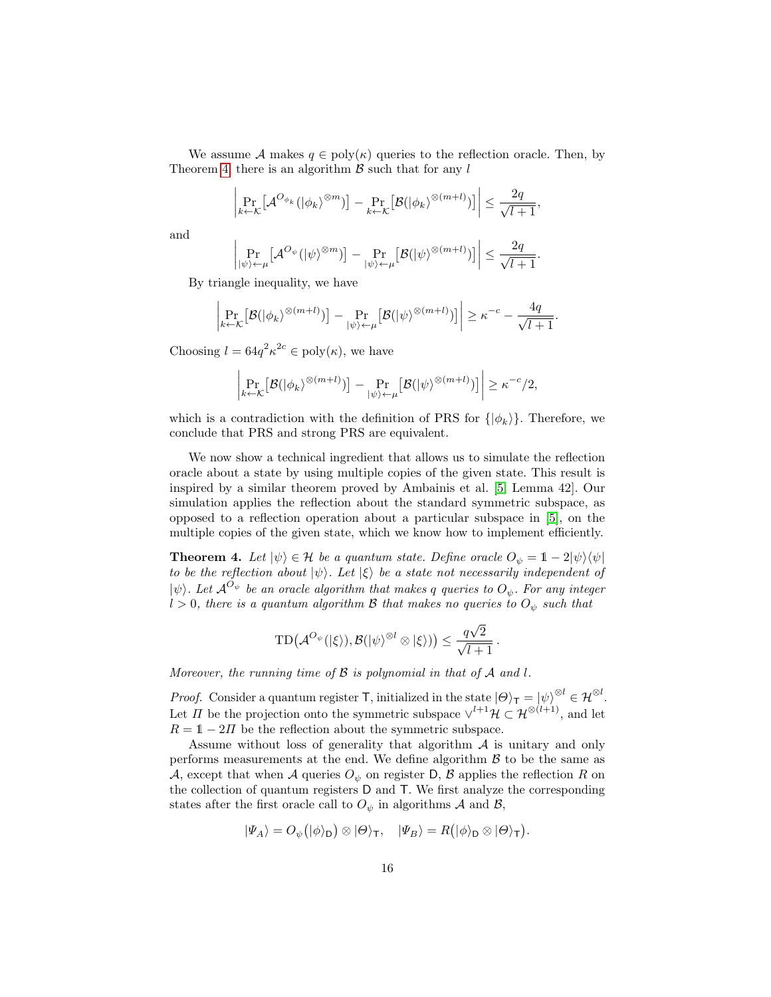We assume A makes  $q \in \text{poly}(\kappa)$  queries to the reflection oracle. Then, by Theorem [4,](#page-15-0) there is an algorithm  $\beta$  such that for any l

$$
\left|\Pr_{k\leftarrow\mathcal{K}}\left[\mathcal{A}^{O_{\phi_k}}(|\phi_k\rangle^{\otimes m})\right] - \Pr_{k\leftarrow\mathcal{K}}\left[\mathcal{B}(|\phi_k\rangle^{\otimes (m+l)})\right]\right| \leq \frac{2q}{\sqrt{l+1}},
$$

and

 $\overline{\phantom{a}}$  $\overline{\phantom{a}}$  $\overline{\phantom{a}}$  $\mid$ 

$$
\left|\Pr_{|\psi\rangle\leftarrow\mu}[\mathcal{A}^{O_\psi}(|\psi\rangle^{\otimes m})] - \Pr_{|\psi\rangle\leftarrow\mu}[\mathcal{B}(|\psi\rangle^{\otimes(m+l)})] \right| \leq \frac{2q}{\sqrt{l+1}}.
$$

By triangle inequality, we have

$$
\Pr_{k \leftarrow \mathcal{K}}\!\left[\mathcal{B}(|\phi_k\rangle^{\otimes (m+l)})\right] - \Pr_{|\psi\rangle \leftarrow \mu}\!\left[\mathcal{B}(|\psi\rangle^{\otimes (m+l)})\right]\right| \geq \kappa^{-c} - \frac{4q}{\sqrt{l+1}}.
$$

Choosing  $l = 64q^2 \kappa^{2c} \in \text{poly}(\kappa)$ , we have

$$
\left|\Pr_{k \leftarrow \mathcal{K}}\left[\mathcal{B}(|\phi_k\rangle^{\otimes (m+l)})\right] - \Pr_{|\psi\rangle \leftarrow \mu}\left[\mathcal{B}(|\psi\rangle^{\otimes (m+l)})\right]\right| \geq \kappa^{-c}/2,
$$

which is a contradiction with the definition of PRS for  $\{|\phi_k\rangle\}$ . Therefore, we conclude that PRS and strong PRS are equivalent.

We now show a technical ingredient that allows us to simulate the reflection oracle about a state by using multiple copies of the given state. This result is inspired by a similar theorem proved by Ambainis et al. [\[5,](#page-23-13) Lemma 42]. Our simulation applies the reflection about the standard symmetric subspace, as opposed to a reflection operation about a particular subspace in [\[5\]](#page-23-13), on the multiple copies of the given state, which we know how to implement efficiently.

<span id="page-15-0"></span>**Theorem 4.** Let  $|\psi\rangle \in \mathcal{H}$  be a quantum state. Define oracle  $O_{\psi} = 1 - 2|\psi\rangle\langle\psi|$ to be the reflection about  $|\psi\rangle$ . Let  $|\xi\rangle$  be a state not necessarily independent of  $|\psi\rangle$ . Let  $\mathcal{A}^{O_{\psi}}$  be an oracle algorithm that makes q queries to  $O_{\psi}$ . For any integer  $l > 0$ , there is a quantum algorithm B that makes no queries to  $O_{\psi}$  such that

$$
\mathrm{TD}\big(\mathcal{A}^{O_\psi}(|\xi\rangle),\mathcal{B}(|\psi\rangle^{\otimes l}\otimes|\xi\rangle)\big)\leq \frac{q\sqrt{2}}{\sqrt{l+1}}
$$

.

Moreover, the running time of  $\mathcal B$  is polynomial in that of  $\mathcal A$  and l.

*Proof.* Consider a quantum register T, initialized in the state  $|\Theta\rangle_T = |\psi\rangle^{\otimes l} \in \mathcal{H}^{\otimes l}$ . Let  $\Pi$  be the projection onto the symmetric subspace  $\vee^{l+1}$  H  $\subset \mathcal{H}^{\otimes (l+1)}$ , and let  $R = 1 - 2H$  be the reflection about the symmetric subspace.

Assume without loss of generality that algorithm  $A$  is unitary and only performs measurements at the end. We define algorithm  $\beta$  to be the same as A, except that when A queries  $O_{\psi}$  on register D, B applies the reflection R on the collection of quantum registers D and T. We first analyze the corresponding states after the first oracle call to  $O_{\psi}$  in algorithms A and B,

$$
|\Psi_A\rangle = O_{\psi} \big ( | \phi \rangle_{\mathsf{D}} \big) \otimes | \varTheta \rangle_{\mathsf{T}}, \quad | \Psi_B \rangle = R \big ( | \phi \rangle_{\mathsf{D}} \otimes | \varTheta \rangle_{\mathsf{T}} \big).
$$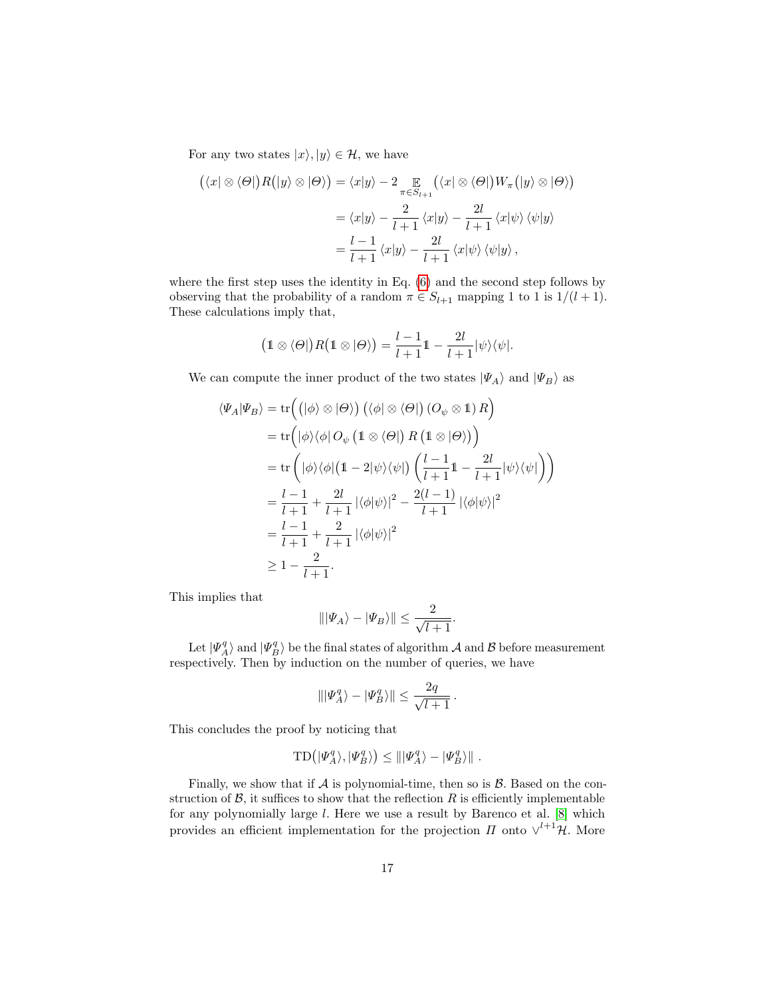For any two states  $|x\rangle, |y\rangle \in \mathcal{H}$ , we have

$$
(\langle x | \otimes \langle \Theta |) R(|y \rangle \otimes | \Theta \rangle) = \langle x | y \rangle - 2 \underset{\pi \in S_{l+1}}{\mathbb{E}} (\langle x | \otimes \langle \Theta |) W_{\pi} (|y \rangle \otimes | \Theta \rangle)
$$

$$
= \langle x | y \rangle - \frac{2}{l+1} \langle x | y \rangle - \frac{2l}{l+1} \langle x | \psi \rangle \langle \psi | y \rangle
$$

$$
= \frac{l-1}{l+1} \langle x | y \rangle - \frac{2l}{l+1} \langle x | \psi \rangle \langle \psi | y \rangle,
$$

where the first step uses the identity in Eq. [\(6\)](#page-7-1) and the second step follows by observing that the probability of a random  $\pi \in S_{l+1}$  mapping 1 to 1 is  $1/(l+1)$ . These calculations imply that,

$$
(\mathbb{1} \otimes \langle \Theta |) R(\mathbb{1} \otimes | \Theta \rangle) = \frac{l-1}{l+1} \mathbb{1} - \frac{2l}{l+1} |\psi\rangle \langle \psi |.
$$

We can compute the inner product of the two states  $|\varPsi_A\rangle$  and  $|\varPsi_B\rangle$  as

$$
\langle \Psi_A | \Psi_B \rangle = \text{tr}\left( \left( |\phi \rangle \otimes |\Theta \rangle \right) \left( \langle \phi | \otimes \langle \Theta | \right) (O_{\psi} \otimes \mathbb{1}) R \right)
$$
  
\n
$$
= \text{tr}\left( |\phi \rangle \langle \phi | O_{\psi} \left( \mathbb{1} \otimes \langle \Theta | \right) R \left( \mathbb{1} \otimes |\Theta \rangle \right) \right)
$$
  
\n
$$
= \text{tr}\left( |\phi \rangle \langle \phi | \left( \mathbb{1} - 2 | \psi \rangle \langle \psi | \right) \left( \frac{l-1}{l+1} \mathbb{1} - \frac{2l}{l+1} | \psi \rangle \langle \psi | \right) \right)
$$
  
\n
$$
= \frac{l-1}{l+1} + \frac{2l}{l+1} | \langle \phi | \psi \rangle |^2 - \frac{2(l-1)}{l+1} | \langle \phi | \psi \rangle |^2
$$
  
\n
$$
= \frac{l-1}{l+1} + \frac{2}{l+1} | \langle \phi | \psi \rangle |^2
$$
  
\n
$$
\geq 1 - \frac{2}{l+1}.
$$

This implies that

$$
\||\varPsi_A\rangle-|\varPsi_B\rangle\|\leq \frac{2}{\sqrt{l+1}}.
$$

Let  $|\Psi^q_A\rangle$  and  $|\Psi^q_B\rangle$  be the final states of algorithm  ${\cal A}$  and  ${\cal B}$  before measurement respectively. Then by induction on the number of queries, we have

$$
\||\varPsi_A^q\rangle-|\varPsi_B^q\rangle\|\leq \frac{2q}{\sqrt{l+1}}\,.
$$

This concludes the proof by noticing that

$$
TD(|\Psi_A^q\rangle,|\Psi_B^q\rangle) \le |||\Psi_A^q\rangle - |\Psi_B^q\rangle||.
$$

Finally, we show that if  $A$  is polynomial-time, then so is  $B$ . Based on the construction of  $\beta$ , it suffices to show that the reflection R is efficiently implementable for any polynomially large  $l$ . Here we use a result by Barenco et al.  $[8]$  which provides an efficient implementation for the projection  $\Pi$  onto  $\vee^{l+1}$ H. More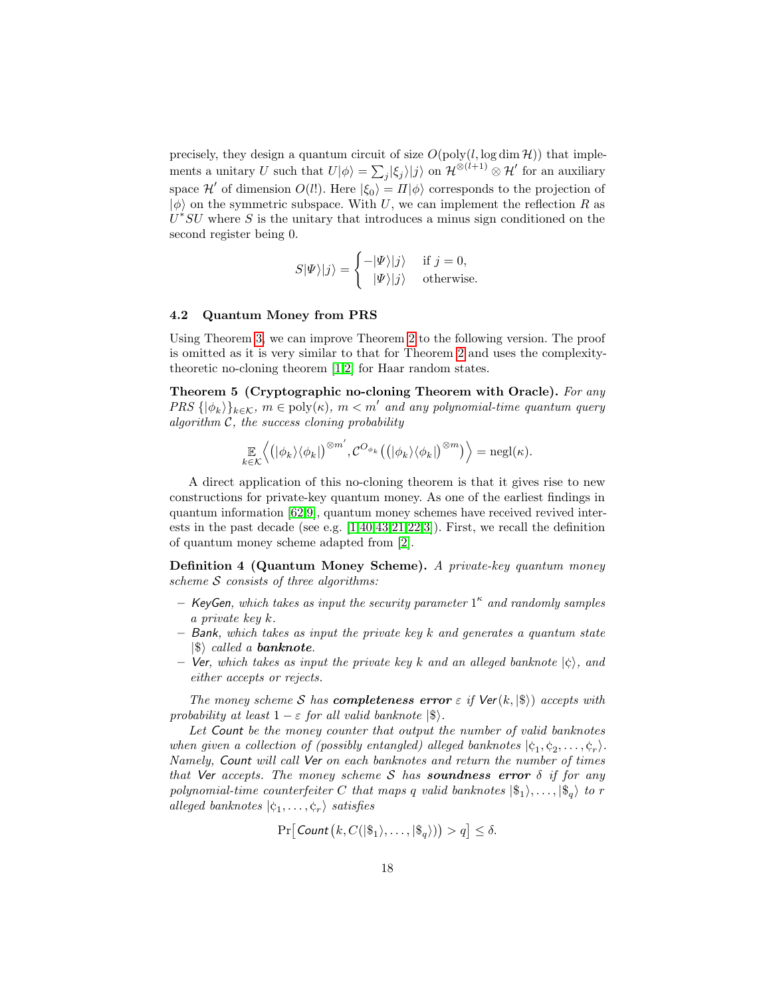precisely, they design a quantum circuit of size  $O(poly(l, log dim H))$  that implements a unitary U such that  $U|\phi\rangle = \sum_j |\xi_j\rangle |j\rangle$  on  $\mathcal{H}^{\otimes (l+1)} \otimes \mathcal{H}'$  for an auxiliary space H' of dimension  $O(l!)$ . Here  $|\xi_0\rangle = \Pi |\phi\rangle$  corresponds to the projection of  $|\phi\rangle$  on the symmetric subspace. With U, we can implement the reflection R as  $U^*SU$  where S is the unitary that introduces a minus sign conditioned on the second register being 0.

$$
S|\Psi\rangle|j\rangle = \begin{cases} -|\Psi\rangle|j\rangle & \text{if } j = 0, \\ |\Psi\rangle|j\rangle & \text{otherwise.} \end{cases}
$$

### 4.2 Quantum Money from PRS

Using Theorem [3,](#page-14-0) we can improve Theorem [2](#page-13-0) to the following version. The proof is omitted as it is very similar to that for Theorem [2](#page-13-0) and uses the complexitytheoretic no-cloning theorem [\[1,](#page-23-5)[2\]](#page-23-6) for Haar random states.

<span id="page-17-0"></span>Theorem 5 (Cryptographic no-cloning Theorem with Oracle). For any  $PRS\{\ket{\phi_k}\}_{k\in\mathcal{K}}$ ,  $m \in \text{poly}(\kappa)$ ,  $m < m'$  and any polynomial-time quantum query algorithm  $C$ , the success cloning probability

$$
\mathop{\mathbb{E}}_{k \in \mathcal{K}} \left\langle \left( |\phi_k\rangle \langle \phi_k| \right)^{\otimes m'}, \mathcal{C}^{O_{\phi_k}} \left( \left( |\phi_k\rangle \langle \phi_k| \right)^{\otimes m} \right) \right\rangle = \mathrm{negl}(\kappa).
$$

A direct application of this no-cloning theorem is that it gives rise to new constructions for private-key quantum money. As one of the earliest findings in quantum information [\[62,](#page-26-9)[9\]](#page-23-10), quantum money schemes have received revived interests in the past decade (see e.g.  $[1,40,43,21,22,3]$  $[1,40,43,21,22,3]$  $[1,40,43,21,22,3]$  $[1,40,43,21,22,3]$  $[1,40,43,21,22,3]$  $[1,40,43,21,22,3]$ ). First, we recall the definition of quantum money scheme adapted from [\[2\]](#page-23-6).

Definition 4 (Quantum Money Scheme). A private-key quantum money scheme  $S$  consists of three algorithms:

- KeyGen, which takes as input the security parameter  $1^{\kappa}$  and randomly samples a private key k.
- $-$  Bank, which takes as input the private key k and generates a quantum state  $|\$\rangle$  called a **banknote**.
- Ver, which takes as input the private key k and an alleged banknote  $|\zeta\rangle$ , and either accepts or rejects.

The money scheme S has **completeness error**  $\varepsilon$  if  $\text{Ver}(k, |\$\)$  accepts with probability at least  $1 - \varepsilon$  for all valid banknote  $|\$\rangle$ .

Let Count be the money counter that output the number of valid banknotes when given a collection of (possibly entangled) alleged banknotes  $|\mathbf{c}_1, \mathbf{c}_2, \dots, \mathbf{c}_r\rangle$ . Namely, Count will call Ver on each banknotes and return the number of times that Ver accepts. The money scheme S has soundness error  $\delta$  if for any polynomial-time counterfeiter C that maps q valid banknotes  $|\$_1\rangle,\ldots,|\$_q\rangle$  to r alleged banknotes  $|\zeta_1,\ldots,\zeta_r\rangle$  satisfies

$$
\Pr\big[\text{Count}\big(k, C(|\$_1\rangle,\ldots,|\$_q\rangle)\big) > q\big] \leq \delta.
$$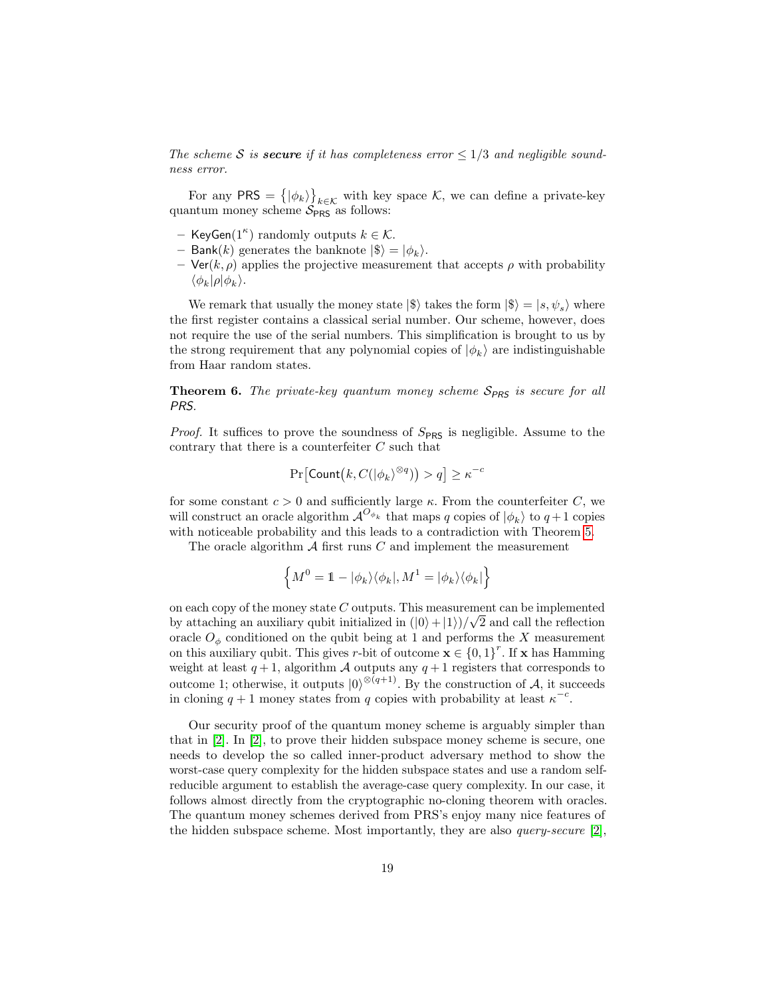The scheme S is secure if it has completeness error  $\leq 1/3$  and negligible soundness error.

For any PRS =  $\{ | \phi_k \rangle \}_{k \in \mathcal{K}}$  with key space  $\mathcal{K}$ , we can define a private-key quantum money scheme  $S_{PRS}$  as follows:

- KeyGen( $1^{\kappa}$ ) randomly outputs  $k \in \mathcal{K}$ .
- Bank(k) generates the banknote  $|\$\rangle = |\phi_k\rangle$ .
- $\textsf{Ver}(k, \rho)$  applies the projective measurement that accepts  $\rho$  with probability  $\langle \phi_k|\rho|\phi_k\rangle$ .

We remark that usually the money state  $|\$\rangle$  takes the form  $|\$\rangle = |s, \psi_s\rangle$  where the first register contains a classical serial number. Our scheme, however, does not require the use of the serial numbers. This simplification is brought to us by the strong requirement that any polynomial copies of  $|\phi_k\rangle$  are indistinguishable from Haar random states.

**Theorem 6.** The private-key quantum money scheme  $S_{PRS}$  is secure for all PRS.

*Proof.* It suffices to prove the soundness of  $S_{\text{PRS}}$  is negligible. Assume to the contrary that there is a counterfeiter  $C$  such that

$$
\Pr\left[\text{Count}\big(k, C(|\phi_k\rangle^{\otimes q})\big) > q\right] \ge \kappa^{-c}
$$

for some constant  $c > 0$  and sufficiently large  $\kappa$ . From the counterfeiter C, we will construct an oracle algorithm  $\mathcal{A}^{O_{\phi_k}}$  that maps q copies of  $|\phi_k\rangle$  to  $q+1$  copies with noticeable probability and this leads to a contradiction with Theorem [5.](#page-17-0)

The oracle algorithm  $A$  first runs  $C$  and implement the measurement

$$
\left\{ M^0 = 1 - |\phi_k\rangle\langle\phi_k|, M^1 = |\phi_k\rangle\langle\phi_k|\right\}
$$

on each copy of the money state  $C$  outputs. This measurement can be implemented by attaching an auxiliary qubit initialized in  $(|0\rangle + |1\rangle)/\sqrt{2}$  and call the reflection oracle ${\cal O}_{\phi}$  conditioned on the qubit being at 1 and performs the  $X$  measurement on this auxiliary qubit. This gives r-bit of outcome  $\mathbf{x} \in \{0,1\}^r$ . If x has Hamming weight at least  $q + 1$ , algorithm  $A$  outputs any  $q + 1$  registers that corresponds to outcome 1; otherwise, it outputs  $|0\rangle^{\otimes(q+1)}$ . By the construction of A, it succeeds in cloning  $q + 1$  money states from q copies with probability at least  $\kappa^{-c}$ .

Our security proof of the quantum money scheme is arguably simpler than that in [\[2\]](#page-23-6). In [\[2\]](#page-23-6), to prove their hidden subspace money scheme is secure, one needs to develop the so called inner-product adversary method to show the worst-case query complexity for the hidden subspace states and use a random selfreducible argument to establish the average-case query complexity. In our case, it follows almost directly from the cryptographic no-cloning theorem with oracles. The quantum money schemes derived from PRS's enjoy many nice features of the hidden subspace scheme. Most importantly, they are also query-secure [\[2\]](#page-23-6),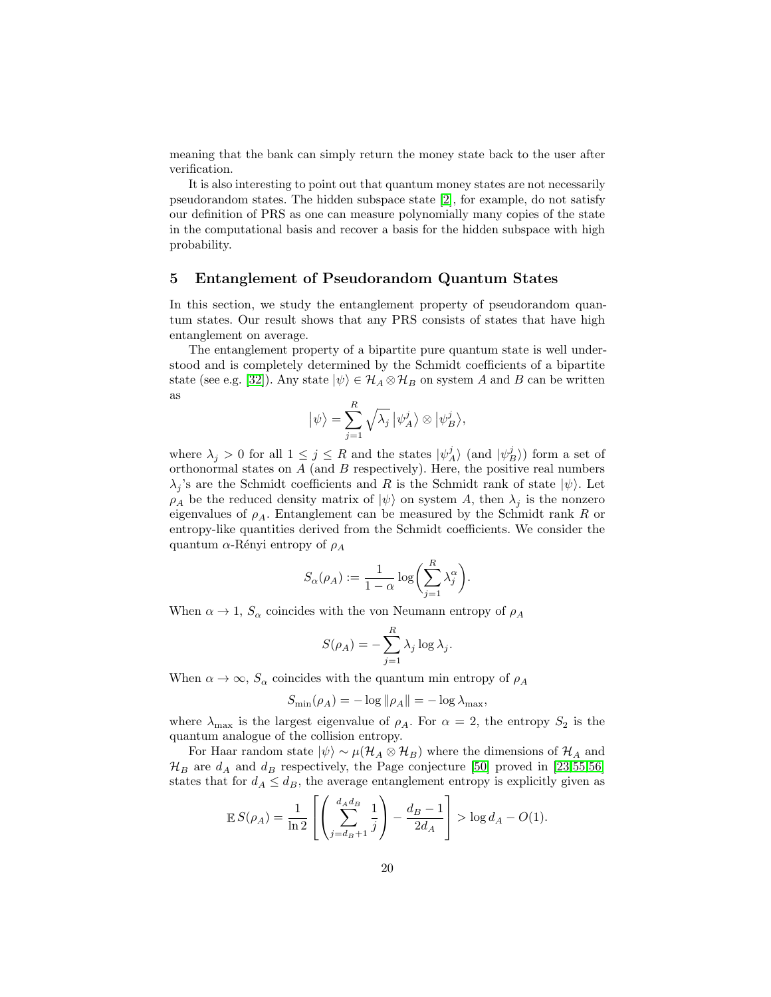meaning that the bank can simply return the money state back to the user after verification.

It is also interesting to point out that quantum money states are not necessarily pseudorandom states. The hidden subspace state [\[2\]](#page-23-6), for example, do not satisfy our definition of PRS as one can measure polynomially many copies of the state in the computational basis and recover a basis for the hidden subspace with high probability.

### 5 Entanglement of Pseudorandom Quantum States

In this section, we study the entanglement property of pseudorandom quantum states. Our result shows that any PRS consists of states that have high entanglement on average.

The entanglement property of a bipartite pure quantum state is well understood and is completely determined by the Schmidt coefficients of a bipartite state (see e.g. [\[32\]](#page-24-14)). Any state  $|\psi\rangle \in \mathcal{H}_A \otimes \mathcal{H}_B$  on system A and B can be written as

$$
|\psi\rangle = \sum_{j=1}^{R} \sqrt{\lambda_j} | \psi_A^j \rangle \otimes | \psi_B^j \rangle,
$$

where  $\lambda_j > 0$  for all  $1 \leq j \leq R$  and the states  $|\psi_A^j\rangle$  (and  $|\psi_B^j\rangle$ ) form a set of orthonormal states on  $A$  (and  $B$  respectively). Here, the positive real numbers  $\lambda_j$ 's are the Schmidt coefficients and R is the Schmidt rank of state  $|\psi\rangle$ . Let  $\rho_A$  be the reduced density matrix of  $|\psi\rangle$  on system A, then  $\lambda_j$  is the nonzero eigenvalues of  $\rho_A$ . Entanglement can be measured by the Schmidt rank R or entropy-like quantities derived from the Schmidt coefficients. We consider the quantum  $\alpha$ -Rényi entropy of  $\rho_A$ 

$$
S_{\alpha}(\rho_A):=\frac{1}{1-\alpha}\log\biggl(\sum_{j=1}^R\lambda_j^{\alpha}\biggr).
$$

When  $\alpha \to 1$ ,  $S_{\alpha}$  coincides with the von Neumann entropy of  $\rho_A$ 

$$
S(\rho_A) = -\sum_{j=1}^R \lambda_j \log \lambda_j.
$$

When  $\alpha \to \infty$ ,  $S_{\alpha}$  coincides with the quantum min entropy of  $\rho_A$ 

$$
S_{\min}(\rho_A) = -\log \|\rho_A\| = -\log \lambda_{\max},
$$

where  $\lambda_{\text{max}}$  is the largest eigenvalue of  $\rho_A$ . For  $\alpha = 2$ , the entropy  $S_2$  is the quantum analogue of the collision entropy.

For Haar random state  $|\psi\rangle \sim \mu(\mathcal{H}_A \otimes \mathcal{H}_B)$  where the dimensions of  $\mathcal{H}_A$  and  $\mathcal{H}_B$  are  $d_A$  and  $d_B$  respectively, the Page conjecture [\[50\]](#page-25-17) proved in [\[23](#page-24-15)[,55,](#page-26-15)[56\]](#page-26-16) states that for  $d_A \leq d_B$ , the average entanglement entropy is explicitly given as

$$
\mathbb{E} S(\rho_A) = \frac{1}{\ln 2} \left[ \left( \sum_{j=d_B+1}^{d_A d_B} \frac{1}{j} \right) - \frac{d_B - 1}{2d_A} \right] > \log d_A - O(1).
$$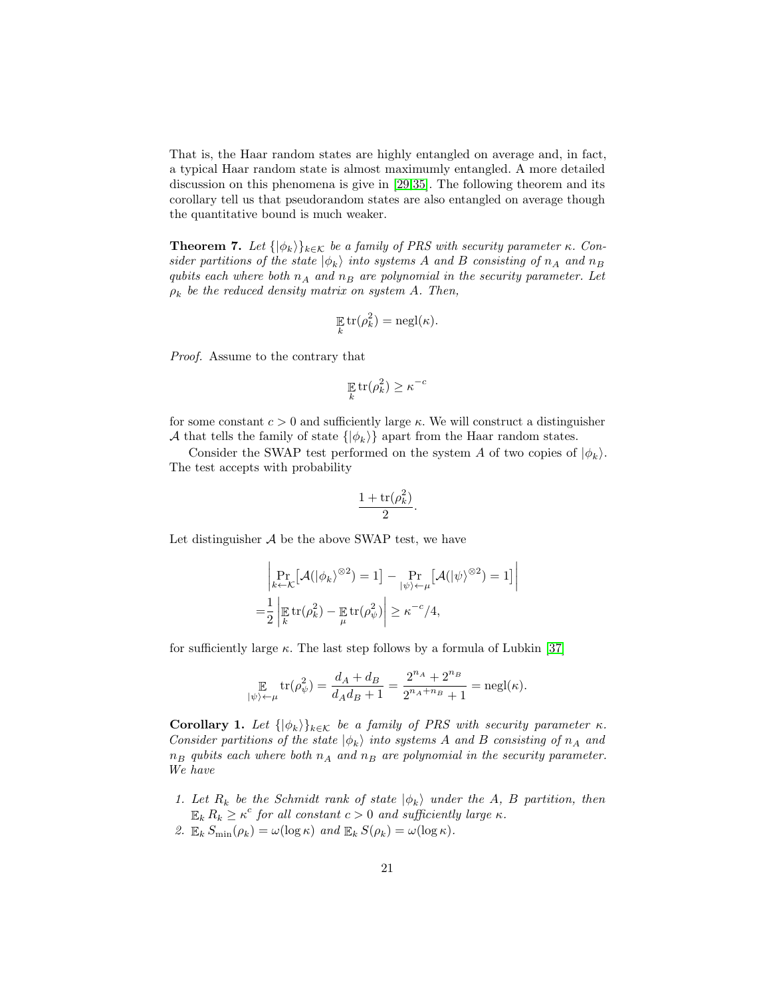That is, the Haar random states are highly entangled on average and, in fact, a typical Haar random state is almost maximumly entangled. A more detailed discussion on this phenomena is give in [\[29](#page-24-16)[,35\]](#page-25-18). The following theorem and its corollary tell us that pseudorandom states are also entangled on average though the quantitative bound is much weaker.

**Theorem 7.** Let  $\{|\phi_k\rangle\}_{k\in\mathcal{K}}$  be a family of PRS with security parameter  $\kappa$ . Consider partitions of the state  $|\phi_k\rangle$  into systems A and B consisting of  $n_A$  and  $n_B$ qubits each where both  $n_A$  and  $n_B$  are polynomial in the security parameter. Let  $\rho_k$  be the reduced density matrix on system A. Then,

$$
\mathop{\mathbb{E}}_k \text{tr}(\rho_k^2) = \text{negl}(\kappa).
$$

Proof. Assume to the contrary that

$$
\mathop{\mathbb{E}}_k \operatorname{tr}(\rho_k^2) \ge \kappa^{-c}
$$

for some constant  $c > 0$  and sufficiently large  $\kappa$ . We will construct a distinguisher A that tells the family of state  $\{|\phi_k\rangle\}$  apart from the Haar random states.

Consider the SWAP test performed on the system A of two copies of  $|\phi_k\rangle$ . The test accepts with probability

$$
\frac{1+\text{tr}(\rho_k^2)}{2}.
$$

Let distinguisher  $A$  be the above SWAP test, we have

$$
\left| \Pr_{k \leftarrow \mathcal{K}} \left[ \mathcal{A}(|\phi_k\rangle^{\otimes 2}) = 1 \right] - \Pr_{|\psi\rangle \leftarrow \mu} \left[ \mathcal{A}(|\psi\rangle^{\otimes 2}) = 1 \right] \right|
$$
  
=  $\frac{1}{2} \left| \mathop{\mathbb{E}}_{k} \text{tr}(\rho_k^2) - \mathop{\mathbb{E}}_{\mu} \text{tr}(\rho_{\psi}^2) \right| \ge \kappa^{-c}/4,$ 

for sufficiently large  $\kappa$ . The last step follows by a formula of Lubkin [\[37\]](#page-25-19)

$$
\mathop{\mathbb{E}}_{|\psi\rangle \leftarrow \mu} \text{tr}(\rho_{\psi}^{2}) = \frac{d_{A} + d_{B}}{d_{A}d_{B} + 1} = \frac{2^{n_{A}} + 2^{n_{B}}}{2^{n_{A} + n_{B}} + 1} = \text{negl}(\kappa).
$$

Corollary 1. Let  $\{\ket{\phi_k}\}_{k\in\mathcal{K}}$  be a family of PRS with security parameter  $\kappa$ . Consider partitions of the state  $|\phi_k\rangle$  into systems A and B consisting of  $n_A$  and  $n_B$  qubits each where both  $n_A$  and  $n_B$  are polynomial in the security parameter. We have

- 1. Let  $R_k$  be the Schmidt rank of state  $|\phi_k\rangle$  under the A, B partition, then  $\mathbb{E}_k R_k \geq \kappa^c$  for all constant  $c > 0$  and sufficiently large  $\kappa$ .
- 2.  $\mathbb{E}_k S_{\min}(\rho_k) = \omega(\log \kappa)$  and  $\mathbb{E}_k S(\rho_k) = \omega(\log \kappa)$ .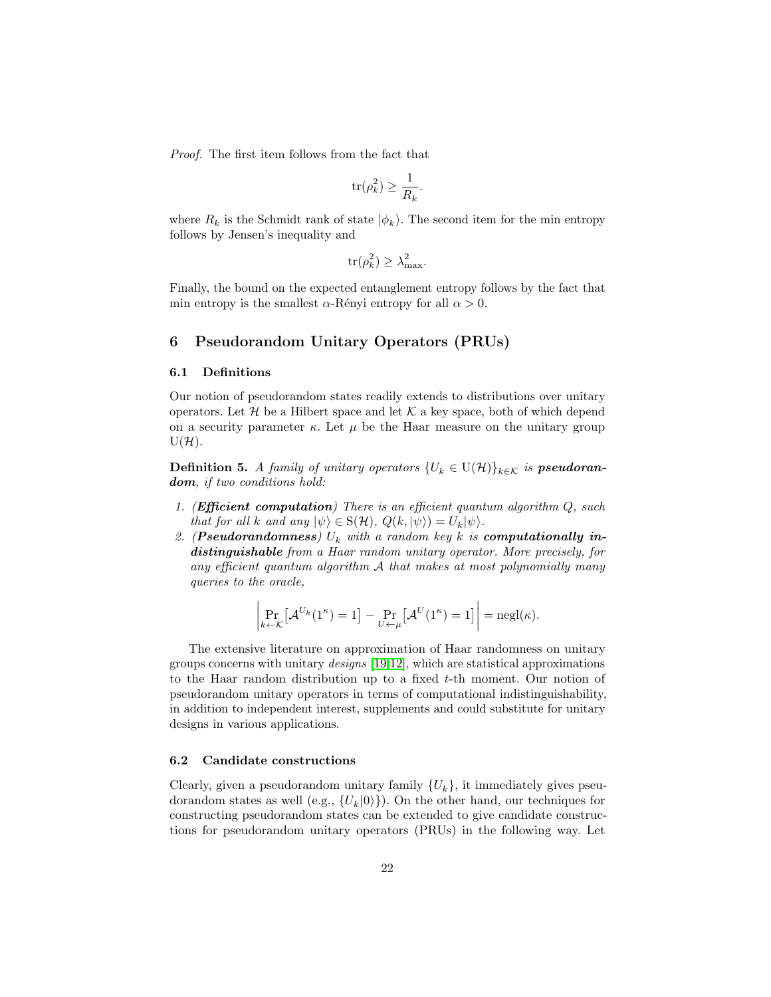Proof. The first item follows from the fact that

$$
\operatorname{tr}(\rho_k^2) \ge \frac{1}{R_k}.
$$

where  $R_k$  is the Schmidt rank of state  $|\phi_k\rangle$ . The second item for the min entropy follows by Jensen's inequality and

$$
\operatorname{tr}(\rho_k^2) \ge \lambda_{\max}^2.
$$

Finally, the bound on the expected entanglement entropy follows by the fact that min entropy is the smallest  $\alpha$ -Rényi entropy for all  $\alpha > 0$ .

# 6 Pseudorandom Unitary Operators (PRUs)

### 6.1 Definitions

Our notion of pseudorandom states readily extends to distributions over unitary operators. Let H be a Hilbert space and let K a key space, both of which depend on a security parameter  $\kappa$ . Let  $\mu$  be the Haar measure on the unitary group  $U(\mathcal{H})$ .

**Definition 5.** A family of unitary operators  $\{U_k \in U(\mathcal{H})\}_{k \in \mathcal{K}}$  is **pseudoran**dom, if two conditions hold:

- 1. (**Efficient computation**) There is an efficient quantum algorithm  $Q$ , such that for all k and any  $|\psi\rangle \in S(H)$ ,  $Q(k, |\psi\rangle) = U_k |\psi\rangle$ .
- 2. (Pseudorandomness)  $U_k$  with a random key k is computationally indistinguishable from a Haar random unitary operator. More precisely, for any efficient quantum algorithm  $A$  that makes at most polynomially many queries to the oracle,

$$
\left| \Pr_{k \leftarrow \mathcal{K}} \left[ \mathcal{A}^{U_k}(1^{\kappa}) = 1 \right] - \Pr_{U \leftarrow \mu} \left[ \mathcal{A}^U(1^{\kappa}) = 1 \right] \right| = \text{negl}(\kappa).
$$

The extensive literature on approximation of Haar randomness on unitary groups concerns with unitary designs [\[19,](#page-24-17)[12\]](#page-23-3), which are statistical approximations to the Haar random distribution up to a fixed t-th moment. Our notion of pseudorandom unitary operators in terms of computational indistinguishability, in addition to independent interest, supplements and could substitute for unitary designs in various applications.

### 6.2 Candidate constructions

Clearly, given a pseudorandom unitary family  $\{U_k\}$ , it immediately gives pseudorandom states as well (e.g.,  $\{U_k|0\rangle\}$ ). On the other hand, our techniques for constructing pseudorandom states can be extended to give candidate constructions for pseudorandom unitary operators (PRUs) in the following way. Let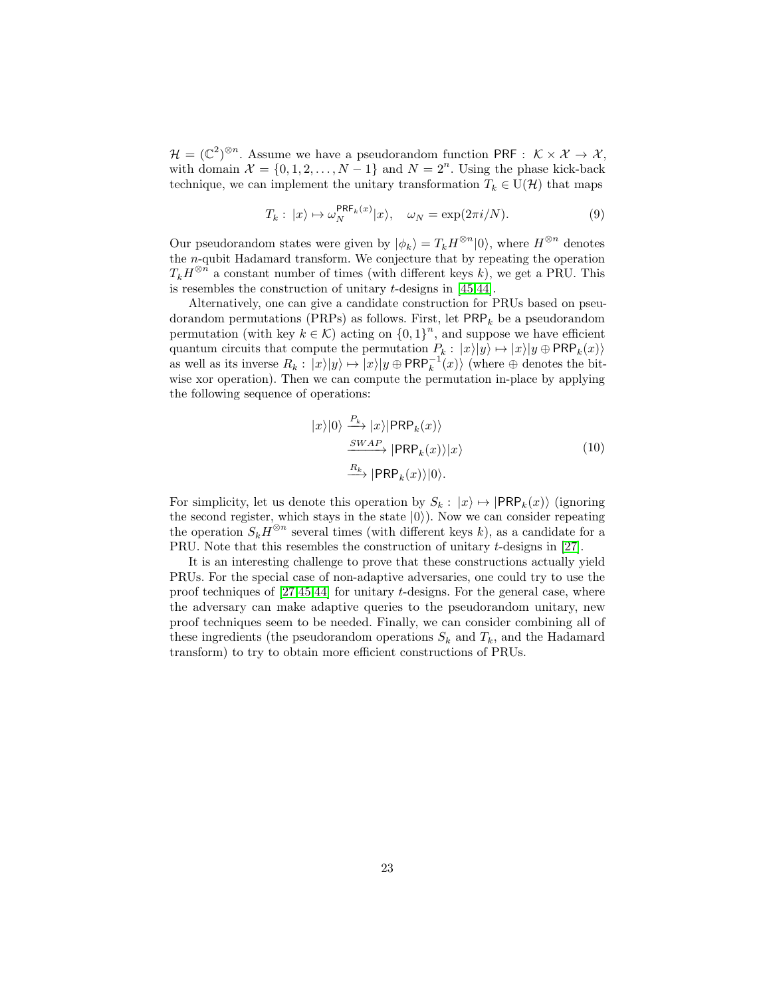$\mathcal{H} = (\mathbb{C}^2)^{\otimes n}$ . Assume we have a pseudorandom function PRF :  $\mathcal{K} \times \mathcal{X} \to \mathcal{X}$ , with domain  $\mathcal{X} = \{0, 1, 2, \ldots, N-1\}$  and  $N = 2<sup>n</sup>$ . Using the phase kick-back technique, we can implement the unitary transformation  $T_k \in U(\mathcal{H})$  that maps

$$
T_k: |x\rangle \mapsto \omega_N^{\text{PRF}_k(x)}|x\rangle, \quad \omega_N = \exp(2\pi i/N). \tag{9}
$$

Our pseudorandom states were given by  $|\phi_k\rangle = T_k H^{\otimes n} |0\rangle$ , where  $H^{\otimes n}$  denotes the n-qubit Hadamard transform. We conjecture that by repeating the operation  $T_k H^{\otimes n}$  a constant number of times (with different keys k), we get a PRU. This is resembles the construction of unitary t-designs in [\[45,](#page-25-5)[44\]](#page-25-6).

Alternatively, one can give a candidate construction for PRUs based on pseudorandom permutations (PRPs) as follows. First, let  $\mathsf{PRP}_k$  be a pseudorandom permutation (with key  $k \in \mathcal{K}$ ) acting on  $\{0,1\}^n$ , and suppose we have efficient quantum circuits that compute the permutation  $P_k : |x\rangle |y\rangle \mapsto |x\rangle |y \oplus \text{PRP}_k(x)\rangle$ as well as its inverse  $R_k : |x\rangle |y\rangle \mapsto |x\rangle |y \oplus \text{PRP}_k^{-1}(x)\rangle$  (where  $\oplus$  denotes the bitwise xor operation). Then we can compute the permutation in-place by applying the following sequence of operations:

$$
|x\rangle|0\rangle \xrightarrow{P_k} |x\rangle|\text{PRP}_k(x)\rangle
$$
  
\n
$$
\xrightarrow{SWAP} |\text{PRP}_k(x)\rangle|x\rangle
$$
  
\n
$$
\xrightarrow{R_k} |\text{PRP}_k(x)\rangle|0\rangle.
$$
 (10)

For simplicity, let us denote this operation by  $S_k : \langle x \rangle \mapsto |\text{PRP}_k(x)\rangle$  (ignoring the second register, which stays in the state  $|0\rangle$ ). Now we can consider repeating the operation  $S_k H^{\otimes n}$  several times (with different keys k), as a candidate for a PRU. Note that this resembles the construction of unitary t-designs in [\[27\]](#page-24-5).

It is an interesting challenge to prove that these constructions actually yield PRUs. For the special case of non-adaptive adversaries, one could try to use the proof techniques of  $[27,45,44]$  $[27,45,44]$  $[27,45,44]$  for unitary t-designs. For the general case, where the adversary can make adaptive queries to the pseudorandom unitary, new proof techniques seem to be needed. Finally, we can consider combining all of these ingredients (the pseudorandom operations  $S_k$  and  $T_k$ , and the Hadamard transform) to try to obtain more efficient constructions of PRUs.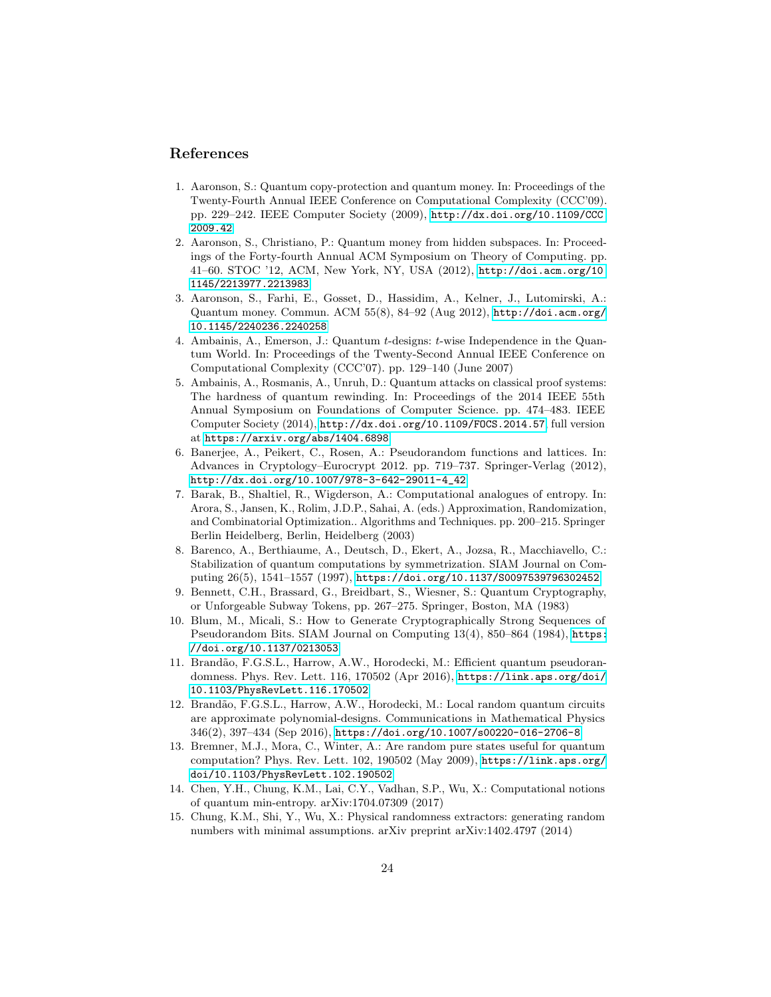### References

- <span id="page-23-5"></span>1. Aaronson, S.: Quantum copy-protection and quantum money. In: Proceedings of the Twenty-Fourth Annual IEEE Conference on Computational Complexity (CCC'09). pp. 229–242. IEEE Computer Society (2009), [http://dx.doi.org/10.1109/CCC.](http://dx.doi.org/10.1109/CCC.2009.42) [2009.42](http://dx.doi.org/10.1109/CCC.2009.42)
- <span id="page-23-6"></span>2. Aaronson, S., Christiano, P.: Quantum money from hidden subspaces. In: Proceedings of the Forty-fourth Annual ACM Symposium on Theory of Computing. pp. 41–60. STOC '12, ACM, New York, NY, USA (2012), [http://doi.acm.org/10.](http://doi.acm.org/10.1145/2213977.2213983) [1145/2213977.2213983](http://doi.acm.org/10.1145/2213977.2213983)
- <span id="page-23-7"></span>3. Aaronson, S., Farhi, E., Gosset, D., Hassidim, A., Kelner, J., Lutomirski, A.: Quantum money. Commun. ACM 55(8), 84–92 (Aug 2012), [http://doi.acm.org/](http://doi.acm.org/10.1145/2240236.2240258) [10.1145/2240236.2240258](http://doi.acm.org/10.1145/2240236.2240258)
- <span id="page-23-2"></span>4. Ambainis, A., Emerson, J.: Quantum t-designs: t-wise Independence in the Quantum World. In: Proceedings of the Twenty-Second Annual IEEE Conference on Computational Complexity (CCC'07). pp. 129–140 (June 2007)
- <span id="page-23-13"></span>5. Ambainis, A., Rosmanis, A., Unruh, D.: Quantum attacks on classical proof systems: The hardness of quantum rewinding. In: Proceedings of the 2014 IEEE 55th Annual Symposium on Foundations of Computer Science. pp. 474–483. IEEE Computer Society (2014), <http://dx.doi.org/10.1109/FOCS.2014.57>, full version at <https://arxiv.org/abs/1404.6898>
- <span id="page-23-12"></span>6. Banerjee, A., Peikert, C., Rosen, A.: Pseudorandom functions and lattices. In: Advances in Cryptology–Eurocrypt 2012. pp. 719–737. Springer-Verlag (2012), [http://dx.doi.org/10.1007/978-3-642-29011-4\\_42](http://dx.doi.org/10.1007/978-3-642-29011-4_42)
- <span id="page-23-11"></span>7. Barak, B., Shaltiel, R., Wigderson, A.: Computational analogues of entropy. In: Arora, S., Jansen, K., Rolim, J.D.P., Sahai, A. (eds.) Approximation, Randomization, and Combinatorial Optimization.. Algorithms and Techniques. pp. 200–215. Springer Berlin Heidelberg, Berlin, Heidelberg (2003)
- <span id="page-23-14"></span>8. Barenco, A., Berthiaume, A., Deutsch, D., Ekert, A., Jozsa, R., Macchiavello, C.: Stabilization of quantum computations by symmetrization. SIAM Journal on Computing 26(5), 1541–1557 (1997), <https://doi.org/10.1137/S0097539796302452>
- <span id="page-23-10"></span>9. Bennett, C.H., Brassard, G., Breidbart, S., Wiesner, S.: Quantum Cryptography, or Unforgeable Subway Tokens, pp. 267–275. Springer, Boston, MA (1983)
- <span id="page-23-0"></span>10. Blum, M., Micali, S.: How to Generate Cryptographically Strong Sequences of Pseudorandom Bits. SIAM Journal on Computing 13(4), 850–864 (1984), [https:](https://doi.org/10.1137/0213053) [//doi.org/10.1137/0213053](https://doi.org/10.1137/0213053)
- <span id="page-23-4"></span>11. Brandão, F.G.S.L., Harrow, A.W., Horodecki, M.: Efficient quantum pseudorandomness. Phys. Rev. Lett. 116, 170502 (Apr 2016), [https://link.aps.org/doi/](https://link.aps.org/doi/10.1103/PhysRevLett.116.170502) [10.1103/PhysRevLett.116.170502](https://link.aps.org/doi/10.1103/PhysRevLett.116.170502)
- <span id="page-23-3"></span>12. Brandão, F.G.S.L., Harrow, A.W., Horodecki, M.: Local random quantum circuits are approximate polynomial-designs. Communications in Mathematical Physics 346(2), 397–434 (Sep 2016), <https://doi.org/10.1007/s00220-016-2706-8>
- <span id="page-23-8"></span>13. Bremner, M.J., Mora, C., Winter, A.: Are random pure states useful for quantum computation? Phys. Rev. Lett. 102, 190502 (May 2009), [https://link.aps.org/](https://link.aps.org/doi/10.1103/PhysRevLett.102.190502) [doi/10.1103/PhysRevLett.102.190502](https://link.aps.org/doi/10.1103/PhysRevLett.102.190502)
- <span id="page-23-9"></span>14. Chen, Y.H., Chung, K.M., Lai, C.Y., Vadhan, S.P., Wu, X.: Computational notions of quantum min-entropy. arXiv:1704.07309 (2017)
- <span id="page-23-1"></span>15. Chung, K.M., Shi, Y., Wu, X.: Physical randomness extractors: generating random numbers with minimal assumptions. arXiv preprint arXiv:1402.4797 (2014)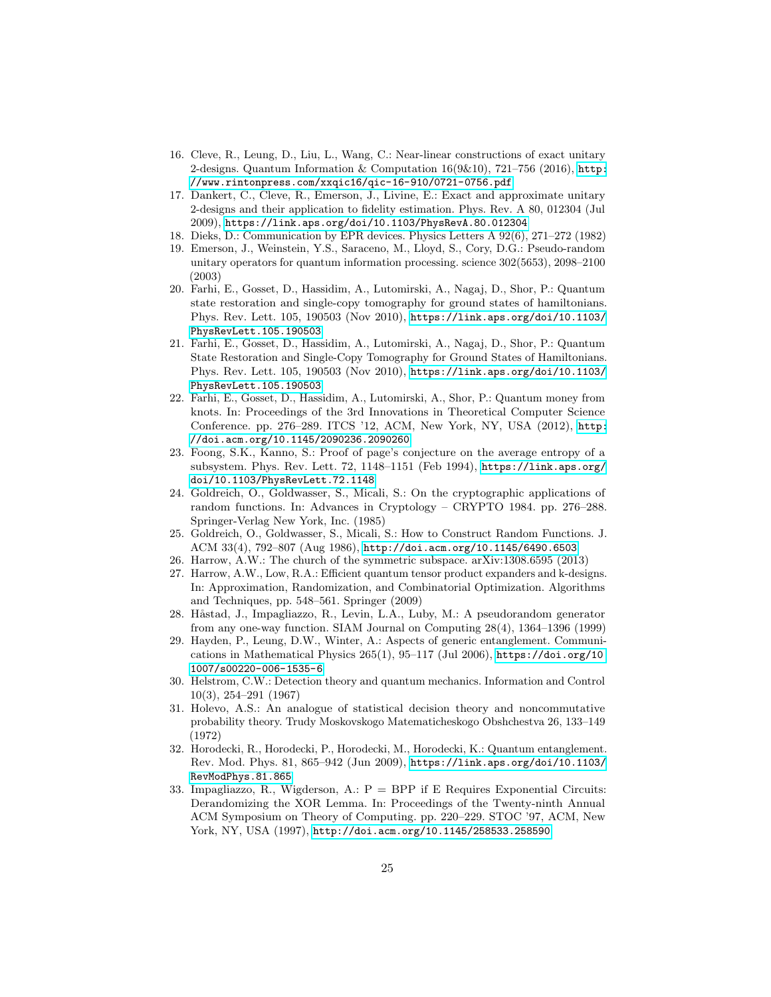- <span id="page-24-6"></span>16. Cleve, R., Leung, D., Liu, L., Wang, C.: Near-linear constructions of exact unitary 2-designs. Quantum Information & Computation  $16(9&10)$ ,  $721-756$  (2016), [http:](http://www.rintonpress.com/xxqic16/qic-16-910/0721-0756.pdf) [//www.rintonpress.com/xxqic16/qic-16-910/0721-0756.pdf](http://www.rintonpress.com/xxqic16/qic-16-910/0721-0756.pdf)
- <span id="page-24-4"></span>17. Dankert, C., Cleve, R., Emerson, J., Livine, E.: Exact and approximate unitary 2-designs and their application to fidelity estimation. Phys. Rev. A 80, 012304 (Jul 2009), <https://link.aps.org/doi/10.1103/PhysRevA.80.012304>
- <span id="page-24-11"></span>18. Dieks, D.: Communication by EPR devices. Physics Letters A 92(6), 271–272 (1982)
- <span id="page-24-17"></span>19. Emerson, J., Weinstein, Y.S., Saraceno, M., Lloyd, S., Cory, D.G.: Pseudo-random unitary operators for quantum information processing. science 302(5653), 2098–2100 (2003)
- <span id="page-24-7"></span>20. Farhi, E., Gosset, D., Hassidim, A., Lutomirski, A., Nagaj, D., Shor, P.: Quantum state restoration and single-copy tomography for ground states of hamiltonians. Phys. Rev. Lett. 105, 190503 (Nov 2010), [https://link.aps.org/doi/10.1103/](https://link.aps.org/doi/10.1103/PhysRevLett.105.190503) [PhysRevLett.105.190503](https://link.aps.org/doi/10.1103/PhysRevLett.105.190503)
- <span id="page-24-12"></span>21. Farhi, E., Gosset, D., Hassidim, A., Lutomirski, A., Nagaj, D., Shor, P.: Quantum State Restoration and Single-Copy Tomography for Ground States of Hamiltonians. Phys. Rev. Lett. 105, 190503 (Nov 2010), [https://link.aps.org/doi/10.1103/](https://link.aps.org/doi/10.1103/PhysRevLett.105.190503) [PhysRevLett.105.190503](https://link.aps.org/doi/10.1103/PhysRevLett.105.190503)
- <span id="page-24-13"></span>22. Farhi, E., Gosset, D., Hassidim, A., Lutomirski, A., Shor, P.: Quantum money from knots. In: Proceedings of the 3rd Innovations in Theoretical Computer Science Conference. pp. 276–289. ITCS '12, ACM, New York, NY, USA (2012), [http:](http://doi.acm.org/10.1145/2090236.2090260) [//doi.acm.org/10.1145/2090236.2090260](http://doi.acm.org/10.1145/2090236.2090260)
- <span id="page-24-15"></span>23. Foong, S.K., Kanno, S.: Proof of page's conjecture on the average entropy of a subsystem. Phys. Rev. Lett. 72, 1148–1151 (Feb 1994), [https://link.aps.org/](https://link.aps.org/doi/10.1103/PhysRevLett.72.1148) [doi/10.1103/PhysRevLett.72.1148](https://link.aps.org/doi/10.1103/PhysRevLett.72.1148)
- <span id="page-24-1"></span>24. Goldreich, O., Goldwasser, S., Micali, S.: On the cryptographic applications of random functions. In: Advances in Cryptology – CRYPTO 1984. pp. 276–288. Springer-Verlag New York, Inc. (1985)
- <span id="page-24-0"></span>25. Goldreich, O., Goldwasser, S., Micali, S.: How to Construct Random Functions. J. ACM 33(4), 792–807 (Aug 1986), <http://doi.acm.org/10.1145/6490.6503>
- <span id="page-24-10"></span>26. Harrow, A.W.: The church of the symmetric subspace. arXiv:1308.6595 (2013)
- <span id="page-24-5"></span>27. Harrow, A.W., Low, R.A.: Efficient quantum tensor product expanders and k-designs. In: Approximation, Randomization, and Combinatorial Optimization. Algorithms and Techniques, pp. 548–561. Springer (2009)
- <span id="page-24-2"></span>28. Håstad, J., Impagliazzo, R., Levin, L.A., Luby, M.: A pseudorandom generator from any one-way function. SIAM Journal on Computing 28(4), 1364–1396 (1999)
- <span id="page-24-16"></span>29. Hayden, P., Leung, D.W., Winter, A.: Aspects of generic entanglement. Communications in Mathematical Physics 265(1), 95–117 (Jul 2006), [https://doi.org/10.](https://doi.org/10.1007/s00220-006-1535-6) [1007/s00220-006-1535-6](https://doi.org/10.1007/s00220-006-1535-6)
- <span id="page-24-8"></span>30. Helstrom, C.W.: Detection theory and quantum mechanics. Information and Control 10(3), 254–291 (1967)
- <span id="page-24-9"></span>31. Holevo, A.S.: An analogue of statistical decision theory and noncommutative probability theory. Trudy Moskovskogo Matematicheskogo Obshchestva 26, 133–149 (1972)
- <span id="page-24-14"></span>32. Horodecki, R., Horodecki, P., Horodecki, M., Horodecki, K.: Quantum entanglement. Rev. Mod. Phys. 81, 865–942 (Jun 2009), [https://link.aps.org/doi/10.1103/](https://link.aps.org/doi/10.1103/RevModPhys.81.865) [RevModPhys.81.865](https://link.aps.org/doi/10.1103/RevModPhys.81.865)
- <span id="page-24-3"></span>33. Impagliazzo, R., Wigderson, A.:  $P = BPP$  if E Requires Exponential Circuits: Derandomizing the XOR Lemma. In: Proceedings of the Twenty-ninth Annual ACM Symposium on Theory of Computing. pp. 220–229. STOC '97, ACM, New York, NY, USA (1997), <http://doi.acm.org/10.1145/258533.258590>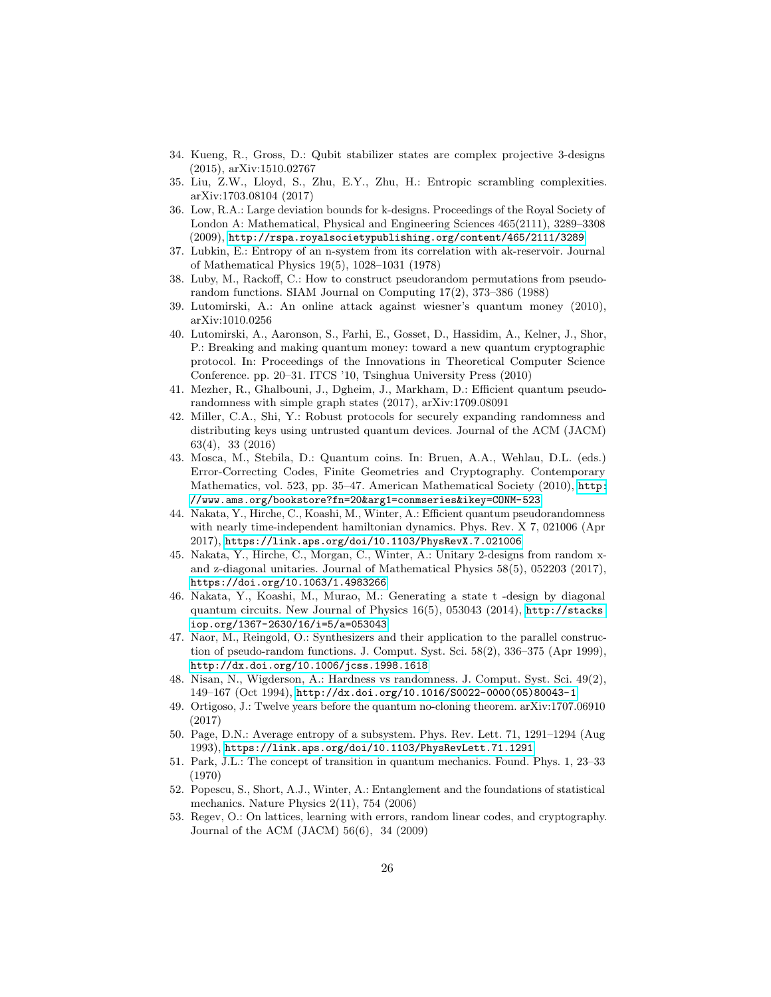- <span id="page-25-3"></span>34. Kueng, R., Gross, D.: Qubit stabilizer states are complex projective 3-designs (2015), arXiv:1510.02767
- <span id="page-25-18"></span>35. Liu, Z.W., Lloyd, S., Zhu, E.Y., Zhu, H.: Entropic scrambling complexities. arXiv:1703.08104 (2017)
- <span id="page-25-11"></span>36. Low, R.A.: Large deviation bounds for k-designs. Proceedings of the Royal Society of London A: Mathematical, Physical and Engineering Sciences 465(2111), 3289–3308 (2009), <http://rspa.royalsocietypublishing.org/content/465/2111/3289>
- <span id="page-25-19"></span>37. Lubkin, E.: Entropy of an n-system from its correlation with ak-reservoir. Journal of Mathematical Physics 19(5), 1028–1031 (1978)
- <span id="page-25-0"></span>38. Luby, M., Rackoff, C.: How to construct pseudorandom permutations from pseudorandom functions. SIAM Journal on Computing 17(2), 373–386 (1988)
- <span id="page-25-9"></span>39. Lutomirski, A.: An online attack against wiesner's quantum money (2010), arXiv:1010.0256
- <span id="page-25-8"></span>40. Lutomirski, A., Aaronson, S., Farhi, E., Gosset, D., Hassidim, A., Kelner, J., Shor, P.: Breaking and making quantum money: toward a new quantum cryptographic protocol. In: Proceedings of the Innovations in Theoretical Computer Science Conference. pp. 20–31. ITCS '10, Tsinghua University Press (2010)
- <span id="page-25-7"></span>41. Mezher, R., Ghalbouni, J., Dgheim, J., Markham, D.: Efficient quantum pseudorandomness with simple graph states (2017), arXiv:1709.08091
- <span id="page-25-2"></span>42. Miller, C.A., Shi, Y.: Robust protocols for securely expanding randomness and distributing keys using untrusted quantum devices. Journal of the ACM (JACM) 63(4), 33 (2016)
- <span id="page-25-16"></span>43. Mosca, M., Stebila, D.: Quantum coins. In: Bruen, A.A., Wehlau, D.L. (eds.) Error-Correcting Codes, Finite Geometries and Cryptography. Contemporary Mathematics, vol. 523, pp. 35–47. American Mathematical Society (2010), [http:](http://www.ams.org/bookstore?fn=20&arg1=conmseries&ikey=CONM-523) [//www.ams.org/bookstore?fn=20&arg1=conmseries&ikey=CONM-523](http://www.ams.org/bookstore?fn=20&arg1=conmseries&ikey=CONM-523)
- <span id="page-25-6"></span>44. Nakata, Y., Hirche, C., Koashi, M., Winter, A.: Efficient quantum pseudorandomness with nearly time-independent hamiltonian dynamics. Phys. Rev. X 7, 021006 (Apr 2017), <https://link.aps.org/doi/10.1103/PhysRevX.7.021006>
- <span id="page-25-5"></span>45. Nakata, Y., Hirche, C., Morgan, C., Winter, A.: Unitary 2-designs from random xand z-diagonal unitaries. Journal of Mathematical Physics 58(5), 052203 (2017), <https://doi.org/10.1063/1.4983266>
- <span id="page-25-4"></span>46. Nakata, Y., Koashi, M., Murao, M.: Generating a state t -design by diagonal quantum circuits. New Journal of Physics 16(5), 053043 (2014), [http://stacks.](http://stacks.iop.org/1367-2630/16/i=5/a=053043) [iop.org/1367-2630/16/i=5/a=053043](http://stacks.iop.org/1367-2630/16/i=5/a=053043)
- <span id="page-25-12"></span>47. Naor, M., Reingold, O.: Synthesizers and their application to the parallel construction of pseudo-random functions. J. Comput. Syst. Sci. 58(2), 336–375 (Apr 1999), <http://dx.doi.org/10.1006/jcss.1998.1618>
- <span id="page-25-1"></span>48. Nisan, N., Wigderson, A.: Hardness vs randomness. J. Comput. Syst. Sci. 49(2), 149–167 (Oct 1994), [http://dx.doi.org/10.1016/S0022-0000\(05\)80043-1](http://dx.doi.org/10.1016/S0022-0000(05)80043-1)
- <span id="page-25-14"></span>49. Ortigoso, J.: Twelve years before the quantum no-cloning theorem. arXiv:1707.06910 (2017)
- <span id="page-25-17"></span>50. Page, D.N.: Average entropy of a subsystem. Phys. Rev. Lett. 71, 1291–1294 (Aug 1993), <https://link.aps.org/doi/10.1103/PhysRevLett.71.1291>
- <span id="page-25-15"></span>51. Park, J.L.: The concept of transition in quantum mechanics. Found. Phys. 1, 23–33 (1970)
- <span id="page-25-10"></span>52. Popescu, S., Short, A.J., Winter, A.: Entanglement and the foundations of statistical mechanics. Nature Physics 2(11), 754 (2006)
- <span id="page-25-13"></span>53. Regev, O.: On lattices, learning with errors, random linear codes, and cryptography. Journal of the ACM (JACM) 56(6), 34 (2009)